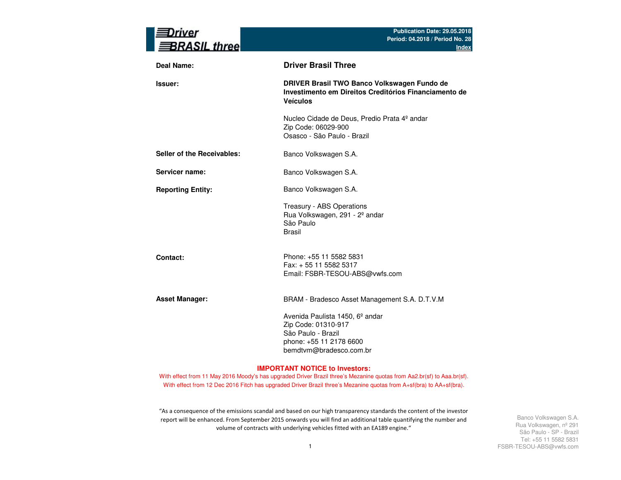| rıver<br><b>BRASIL three</b> | Publication Date: 29.05.2018<br>Period: 04.2018 / Period No. 28<br><b>Index</b>                                                                |
|------------------------------|------------------------------------------------------------------------------------------------------------------------------------------------|
| <b>Deal Name:</b>            | <b>Driver Brasil Three</b>                                                                                                                     |
| Issuer:                      | DRIVER Brasil TWO Banco Volkswagen Fundo de<br>Investimento em Direitos Creditórios Financiamento de<br><b>Veículos</b>                        |
|                              | Nucleo Cidade de Deus, Predio Prata 4º andar<br>Zip Code: 06029-900<br>Osasco - São Paulo - Brazil                                             |
| Seller of the Receivables:   | Banco Volkswagen S.A.                                                                                                                          |
| Servicer name:               | Banco Volkswagen S.A.                                                                                                                          |
| <b>Reporting Entity:</b>     | Banco Volkswagen S.A.                                                                                                                          |
|                              | Treasury - ABS Operations<br>Rua Volkswagen, 291 - 2º andar<br>São Paulo<br><b>Brasil</b>                                                      |
| Contact:                     | Phone: +55 11 5582 5831<br>Fax: + 55 11 5582 5317<br>Email: FSBR-TESOU-ABS@vwfs.com                                                            |
| <b>Asset Manager:</b>        | BRAM - Bradesco Asset Management S.A. D.T.V.M                                                                                                  |
|                              | Avenida Paulista 1450, 6 <sup>°</sup> andar<br>Zip Code: 01310-917<br>São Paulo - Brazil<br>phone: +55 11 2178 6600<br>bemdtvm@bradesco.com.br |

### **IMPORTANT NOTICE to Investors:**

With effect from 11 May 2016 Moody's has upgraded Driver Brazil three's Mezanine quotas from Aa2.br(sf) to Aaa.br(sf). With effect from 12 Dec 2016 Fitch has upgraded Driver Brazil three's Mezanine quotas from A+sf(bra) to AA+sf(bra).

"As a consequence of the emissions scandal and based on our high transparency standards the content of the investor report will be enhanced. From September 2015 onwards you will find an additional table quantifying the number and volume of contracts with underlying vehicles fitted with an EA189 engine."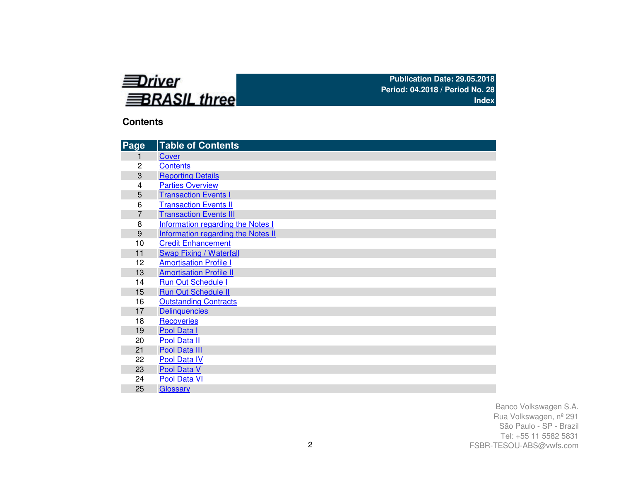

# **Contents**

| Page           | <b>Table of Contents</b>           |
|----------------|------------------------------------|
| 1              | Cover                              |
| 2              | <b>Contents</b>                    |
| 3              | <b>Reporting Details</b>           |
| 4              | <b>Parties Overview</b>            |
| 5              | <b>Transaction Events I</b>        |
| 6              | <b>Transaction Events II</b>       |
| $\overline{7}$ | <b>Transaction Events III</b>      |
| 8              | Information regarding the Notes I  |
| 9              | Information regarding the Notes II |
| 10             | <b>Credit Enhancement</b>          |
| 11             | <b>Swap Fixing / Waterfall</b>     |
| 12             | <b>Amortisation Profile I</b>      |
| 13             | <b>Amortisation Profile II</b>     |
| 14             | <b>Run Out Schedule I</b>          |
| 15             | <b>Run Out Schedule II</b>         |
| 16             | <b>Outstanding Contracts</b>       |
| 17             | <b>Delinquencies</b>               |
| 18             | <b>Recoveries</b>                  |
| 19             | Pool Data I                        |
| 20             | Pool Data II                       |
| 21             | Pool Data III                      |
| 22             | Pool Data IV                       |
| 23             | Pool Data V                        |
| 24             | Pool Data VI                       |
| 25             | Glossary                           |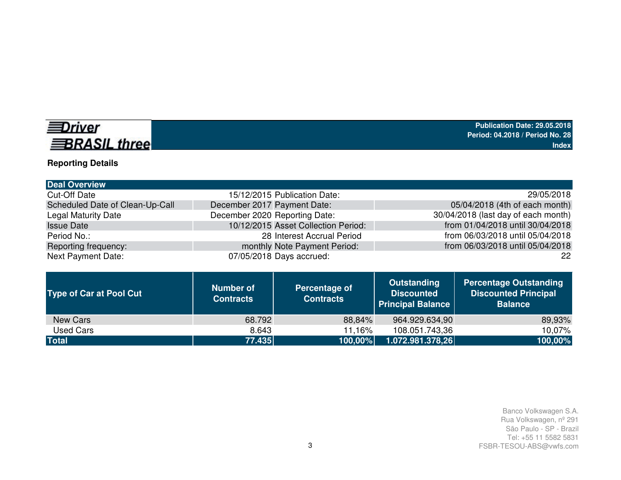# *<u>EDriver</u>* **BRASIL three**

# **Reporting Details**

| <b>Deal Overview</b>            |                                     |                                     |
|---------------------------------|-------------------------------------|-------------------------------------|
| <b>Cut-Off Date</b>             | 15/12/2015 Publication Date:        | 29/05/2018                          |
| Scheduled Date of Clean-Up-Call | December 2017 Payment Date:         | 05/04/2018 (4th of each month)      |
| <b>Legal Maturity Date</b>      | December 2020 Reporting Date:       | 30/04/2018 (last day of each month) |
| <b>Issue Date</b>               | 10/12/2015 Asset Collection Period: | from 01/04/2018 until 30/04/2018    |
| Period No.:                     | 28 Interest Accrual Period          | from 06/03/2018 until 05/04/2018    |
| Reporting frequency:            | monthly Note Payment Period:        | from 06/03/2018 until 05/04/2018    |
| <b>Next Payment Date:</b>       | 07/05/2018 Days accrued:            | 22                                  |

| <b>Type of Car at Pool Cut</b> | <b>Number of</b><br><b>Contracts</b> | Percentage of<br><b>Contracts</b> | Outstanding<br><b>Discounted</b><br><b>Principal Balance</b> | <b>Percentage Outstanding</b><br><b>Discounted Principal</b><br><b>Balance</b> |
|--------------------------------|--------------------------------------|-----------------------------------|--------------------------------------------------------------|--------------------------------------------------------------------------------|
| New Cars                       | 68.792                               | 88,84%                            | 964.929.634,90                                               | 89,93%                                                                         |
| Used Cars                      | 8.643                                | 11,16%                            | 108.051.743,36                                               | 10.07%                                                                         |
| <b>Total</b>                   | 77.435                               | $ 100,00\% $                      | 1.072.981.378,26                                             | 100,00%                                                                        |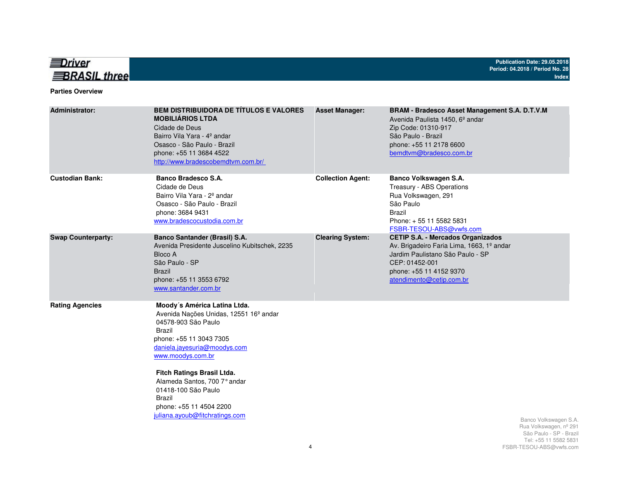

## **Parties Overview**

| <b>Administrator:</b>     | <b>BEM DISTRIBUIDORA DE TÍTULOS E VALORES</b><br><b>MOBILIÁRIOS LTDA</b><br>Cidade de Deus<br>Bairro Vila Yara - 4º andar<br>Osasco - São Paulo - Brazil<br>phone: +55 11 3684 4522<br>http://www.bradescobemdtvm.com.br/                                                                                                                                       | <b>Asset Manager:</b>    | BRAM - Bradesco Asset Management S.A. D.T.V.M<br>Avenida Paulista 1450, 6 <sup>°</sup> andar<br>Zip Code: 01310-917<br>São Paulo - Brazil<br>phone: +55 11 2178 6600<br>bemdtvm@bradesco.com.br    |                                                                                                    |
|---------------------------|-----------------------------------------------------------------------------------------------------------------------------------------------------------------------------------------------------------------------------------------------------------------------------------------------------------------------------------------------------------------|--------------------------|----------------------------------------------------------------------------------------------------------------------------------------------------------------------------------------------------|----------------------------------------------------------------------------------------------------|
| <b>Custodian Bank:</b>    | Banco Bradesco S.A.<br>Cidade de Deus<br>Bairro Vila Yara - 2 <sup>°</sup> andar<br>Osasco - São Paulo - Brazil<br>phone: 3684 9431<br>www.bradescocustodia.com.br                                                                                                                                                                                              | <b>Collection Agent:</b> | Banco Volkswagen S.A.<br>Treasury - ABS Operations<br>Rua Volkswagen, 291<br>São Paulo<br><b>Brazil</b><br>Phone: +55 11 5582 5831<br>FSBR-TESOU-ABS@vwfs.com                                      |                                                                                                    |
| <b>Swap Counterparty:</b> | Banco Santander (Brasil) S.A.<br>Avenida Presidente Juscelino Kubitschek, 2235<br>Bloco A<br>São Paulo - SP<br><b>Brazil</b><br>phone: +55 11 3553 6792<br>www.santander.com.br                                                                                                                                                                                 | <b>Clearing System:</b>  | <b>CETIP S.A. - Mercados Organizados</b><br>Av. Brigadeiro Faria Lima, 1663, 1º andar<br>Jardim Paulistano São Paulo - SP<br>CEP: 01452-001<br>phone: +55 11 4152 9370<br>atendimento@cetip.com.br |                                                                                                    |
| <b>Rating Agencies</b>    | Moody's América Latina Ltda.<br>Avenida Nações Unidas, 12551 16 <sup>°</sup> andar<br>04578-903 São Paulo<br>Brazil<br>phone: +55 11 3043 7305<br>daniela.jayesuria@moodys.com<br>www.moodys.com.br<br>Fitch Ratings Brasil Ltda.<br>Alameda Santos, 700 7° andar<br>01418-100 São Paulo<br>Brazil<br>phone: +55 11 4504 2200<br>juliana.ayoub@fitchratings.com |                          |                                                                                                                                                                                                    | Banco Volkswagen S.A.<br>Rua Volkswagen, nº 291<br>São Paulo - SP - Brazil<br>Tel: 55 11 5582 5831 |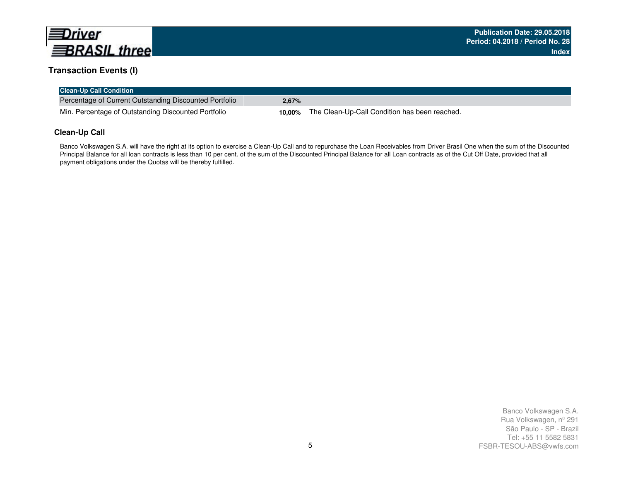

# **Transaction Events (I)**

| <b>Clean-Up Call Condition</b>                         |       |                                                      |
|--------------------------------------------------------|-------|------------------------------------------------------|
| Percentage of Current Outstanding Discounted Portfolio | 2.67% |                                                      |
| Min. Percentage of Outstanding Discounted Portfolio    |       | 10,00% The Clean-Up-Call Condition has been reached. |

## **Clean-Up Call**

Banco Volkswagen S.A. will have the right at its option to exercise a Clean-Up Call and to repurchase the Loan Receivables from Driver Brasil One when the sum of the Discounted Principal Balance for all loan contracts is less than 10 per cent. of the sum of the Discounted Principal Balance for all Loan contracts as of the Cut Off Date, provided that all payment obligations under the Quotas will be thereby fulfilled.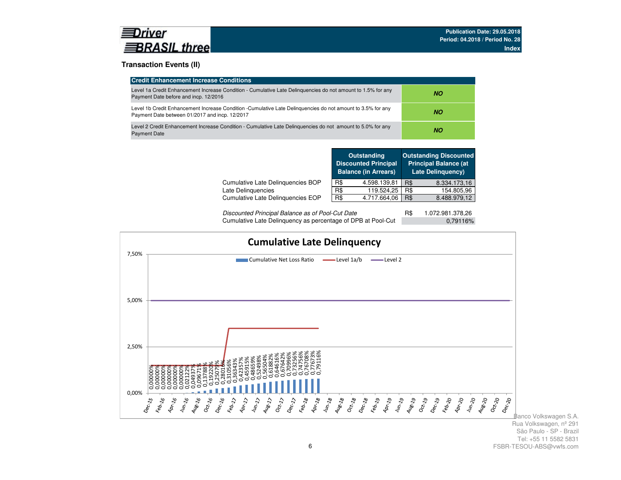## **Transaction Events (II)**

| <b>Credit Enhancement Increase Conditions</b>                                                                                                                 |     |
|---------------------------------------------------------------------------------------------------------------------------------------------------------------|-----|
| Level 1a Credit Enhancement Increase Condition - Cumulative Late Delinguencies do not amount to 1.5% for any<br>Payment Date before and incp. 12/2016         | NO. |
| Level 1b Credit Enhancement Increase Condition -Cumulative Late Delinguencies do not amount to 3.5% for any<br>Payment Date between 01/2017 and incp. 12/2017 | NO. |
| Level 2 Credit Enhancement Increase Condition - Cumulative Late Delinguencies do not amount to 5.0% for any<br><b>Payment Date</b>                            | NO. |

|                                   |     | <b>Outstanding</b><br><b>Discounted Principal</b><br><b>Balance (in Arrears)</b> |     | <b>Outstanding Discounted</b><br><b>Principal Balance (at</b><br><b>Late Delinguency)</b> |
|-----------------------------------|-----|----------------------------------------------------------------------------------|-----|-------------------------------------------------------------------------------------------|
| Cumulative Late Delinquencies BOP | R\$ | 4.598.139,81                                                                     | R\$ | 8.334.173,16                                                                              |
| Late Delinguencies                | R\$ | 119.524.25                                                                       | R\$ | 154.805,96                                                                                |
| Cumulative Late Delinguencies EOP | R\$ | 4.717.664,06                                                                     | R\$ | 8.488.979,12                                                                              |
|                                   |     |                                                                                  |     |                                                                                           |

| Discounted Principal Balance as of Pool-Cut Date             | 1.072.981.378,26 |  |
|--------------------------------------------------------------|------------------|--|
| Cumulative Late Delinquency as percentage of DPB at Pool-Cut | 0.79116%         |  |

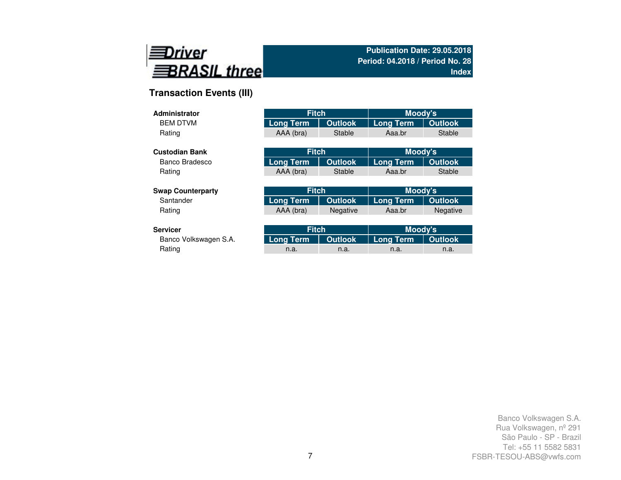

# **Transaction Events (III)**

| <b>Administrator</b>     | <b>Fitch</b>     |                | Moody's          |                 |
|--------------------------|------------------|----------------|------------------|-----------------|
| <b>BEM DTVM</b>          | <b>Long Term</b> | <b>Outlook</b> | <b>Long Term</b> | <b>Outlook</b>  |
| Rating                   | AAA (bra)        | Stable         | Aaa.br           | <b>Stable</b>   |
|                          |                  |                |                  |                 |
| <b>Custodian Bank</b>    | <b>Fitch</b>     |                | Moody's          |                 |
| Banco Bradesco           | <b>Long Term</b> | <b>Outlook</b> | <b>Long Term</b> | <b>Outlook</b>  |
| Rating                   | AAA (bra)        | Stable         | Aaa.br           | <b>Stable</b>   |
|                          |                  |                |                  |                 |
| <b>Swap Counterparty</b> | <b>Fitch</b>     |                | Moody's          |                 |
| Santander                | <b>Long Term</b> | <b>Outlook</b> | <b>Long Term</b> | <b>Outlook</b>  |
| Rating                   | AAA (bra)        | Negative       | Aaa.br           | <b>Negative</b> |
|                          |                  |                |                  |                 |
| <b>Servicer</b>          | <b>Fitch</b>     |                | Moody's          |                 |
| Banco Volkswagen S.A.    | Long Term        | <b>Outlook</b> | Long Term        | <b>Outlook</b>  |

| rvicer!               | <b>Fitch</b>                    |      | Moody's |         |
|-----------------------|---------------------------------|------|---------|---------|
| Banco Volkswagen S.A. | Long Term   Outlook   Long Term |      |         | Outlook |
| Rating                | n.a.                            | n.a. | n.a.    | n.a.    |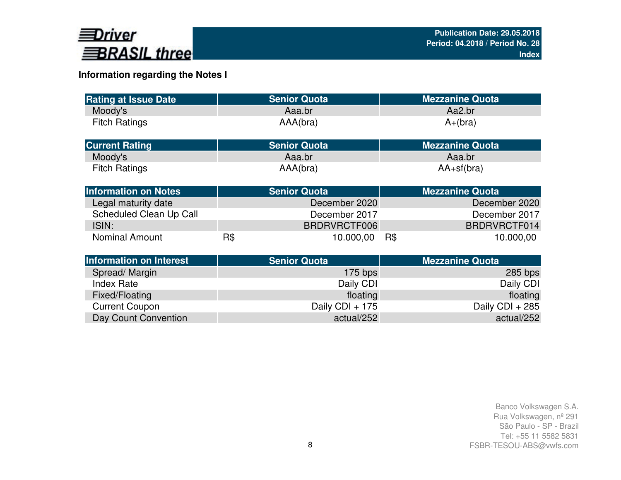

# **Information regarding the Notes I**

| <b>Rating at Issue Date</b>    |     | <b>Senior Quota</b> | <b>Mezzanine Quota</b> |
|--------------------------------|-----|---------------------|------------------------|
| Moody's                        |     | Aaa.br              | Aa2.br                 |
| <b>Fitch Ratings</b>           |     | AAA(bra)            | $A+(bra)$              |
| <b>Current Rating</b>          |     | <b>Senior Quota</b> | <b>Mezzanine Quota</b> |
| Moody's                        |     | Aaa.br              | Aaa.br                 |
| <b>Fitch Ratings</b>           |     | AAA(bra)            | $AA+sf(bra)$           |
| <b>Information on Notes</b>    |     | <b>Senior Quota</b> | <b>Mezzanine Quota</b> |
| Legal maturity date            |     | December 2020       | December 2020          |
| Scheduled Clean Up Call        |     | December 2017       | December 2017          |
| ISIN:                          |     | BRDRVRCTF006        | BRDRVRCTF014           |
| <b>Nominal Amount</b>          | R\$ | 10.000,00           | R\$<br>10.000,00       |
| <b>Information on Interest</b> |     | <b>Senior Quota</b> | <b>Mezzanine Quota</b> |
| Spread/Margin                  |     | $175$ bps           | $285$ bps              |
| <b>Index Rate</b>              |     | Daily CDI           | Daily CDI              |
| Fixed/Floating                 |     | floating            | floating               |
| <b>Current Coupon</b>          |     | Daily CDI + 175     | Daily CDI + 285        |
| Day Count Convention           |     | actual/252          | actual/252             |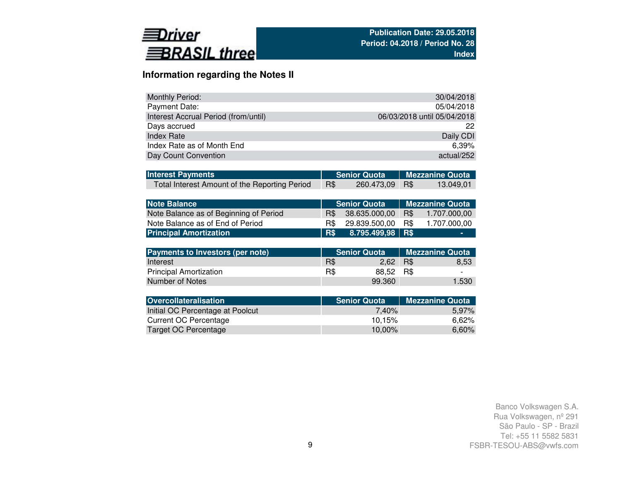

# **Information regarding the Notes II**

| <b>Monthly Period:</b>               | 30/04/2018                  |
|--------------------------------------|-----------------------------|
| Payment Date:                        | 05/04/2018                  |
| Interest Accrual Period (from/until) | 06/03/2018 until 05/04/2018 |
| Days accrued                         | 22                          |
| <b>Index Rate</b>                    | Daily CDI                   |
| Index Rate as of Month End           | $6.39\%$                    |
| Day Count Convention                 | actual/252                  |

| <b>Interest Payments</b>                      |   |                | Senior Quota Mezzanine Quota |           |  |  |
|-----------------------------------------------|---|----------------|------------------------------|-----------|--|--|
| Total Interest Amount of the Reporting Period | R | 260.473,09 R\$ |                              | 13.049.01 |  |  |

| <b>Note Balance</b>                    |      | <b>Senior Quota</b> | <b>Nezzanine Quota</b> |              |  |  |
|----------------------------------------|------|---------------------|------------------------|--------------|--|--|
| Note Balance as of Beginning of Period | R\$  | 38.635.000.00       | R\$                    | 1.707.000.00 |  |  |
| Note Balance as of End of Period       | B\$. | 29.839.500.00       | R\$                    | 1.707.000.00 |  |  |
| <b>Principal Amortization</b>          | R\$  | 8.795.499,98 R\$    |                        | -            |  |  |

| Payments to Investors (per note) |     | <b>Senior Quota</b> | <b>Mezzanine Quota</b> |                          |  |
|----------------------------------|-----|---------------------|------------------------|--------------------------|--|
| Interest                         | R\$ | 2.62                | R\$                    | 8.53                     |  |
| <b>Principal Amortization</b>    | R\$ | 88.52 R\$           |                        | $\overline{\phantom{0}}$ |  |
| Number of Notes                  |     | 99.360              |                        | 1.530                    |  |

| <b>Senior Quota</b> | <b>Mezzanine Quota</b> |
|---------------------|------------------------|
| 7.40%               | 5,97%                  |
| 10.15%              | 6.62%                  |
| $10.00\%$           | 6,60%                  |
|                     |                        |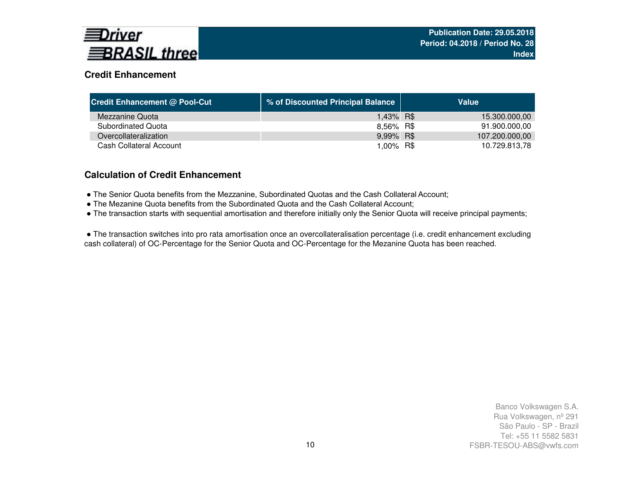

# **Credit Enhancement**

| <b>Credit Enhancement @ Pool-Cut</b> | % of Discounted Principal Balance | Value          |
|--------------------------------------|-----------------------------------|----------------|
| Mezzanine Quota                      | 1,43% R\$                         | 15.300.000,00  |
| Subordinated Quota                   | 8,56% R\$                         | 91.900.000,00  |
| Overcollateralization                | 9,99% R\$                         | 107.200.000,00 |
| Cash Collateral Account              | 1,00% R\$                         | 10.729.813,78  |

# **Calculation of Credit Enhancement**

- The Senior Quota benefits from the Mezzanine, Subordinated Quotas and the Cash Collateral Account;
- The Mezanine Quota benefits from the Subordinated Quota and the Cash Collateral Account;
- The transaction starts with sequential amortisation and therefore initially only the Senior Quota will receive principal payments;

● The transaction switches into pro rata amortisation once an overcollateralisation percentage (i.e. credit enhancement excluding cash collateral) of OC-Percentage for the Senior Quota and OC-Percentage for the Mezanine Quota has been reached.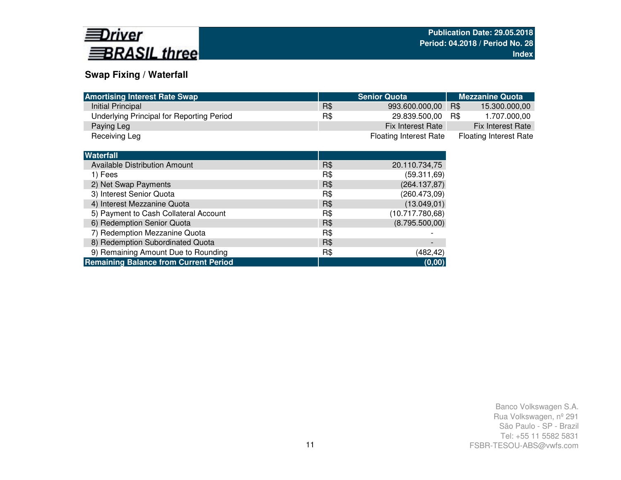

# **Swap Fixing / Waterfall**

7) Redemption Mezzanine Quota

**Remaining Balance from Current Period**

| <b>Amortising Interest Rate Swap</b>      |     | <b>Senior Quota</b>           | <b>Mezzanine Quota</b>        |
|-------------------------------------------|-----|-------------------------------|-------------------------------|
| Initial Principal                         | R\$ | 993.600.000,00                | R\$<br>15.300.000,00          |
| Underlying Principal for Reporting Period | R\$ | 29.839.500,00                 | 1.707.000,00<br>R\$           |
| Paying Leg                                |     | Fix Interest Rate             | <b>Fix Interest Rate</b>      |
| Receiving Leg                             |     | <b>Floating Interest Rate</b> | <b>Floating Interest Rate</b> |
|                                           |     |                               |                               |
| <b>Waterfall</b>                          |     |                               |                               |
| <b>Available Distribution Amount</b>      | R\$ | 20.110.734,75                 |                               |
| 1) Fees                                   | R\$ | (59.311, 69)                  |                               |
| 2) Net Swap Payments                      | R\$ | (264.137,87)                  |                               |
| 3) Interest Senior Quota                  | R\$ | (260.473,09)                  |                               |
| 4) Interest Mezzanine Quota               | R\$ | (13.049, 01)                  |                               |
| 5) Payment to Cash Collateral Account     | R\$ | (10.717.780,68)               |                               |
| 6) Redemption Senior Quota                | R\$ | (8.795.500,00)                |                               |
|                                           |     |                               |                               |

g R\$ (482,42)

**(0,00)**

Party Redemption Mezzanine Quota<br>
8) Redemption Subordinated Quota<br>
8) Redemption Subordinated Quota 9) Remaining Amount Due to Rounding and the state of R\$ (482,42)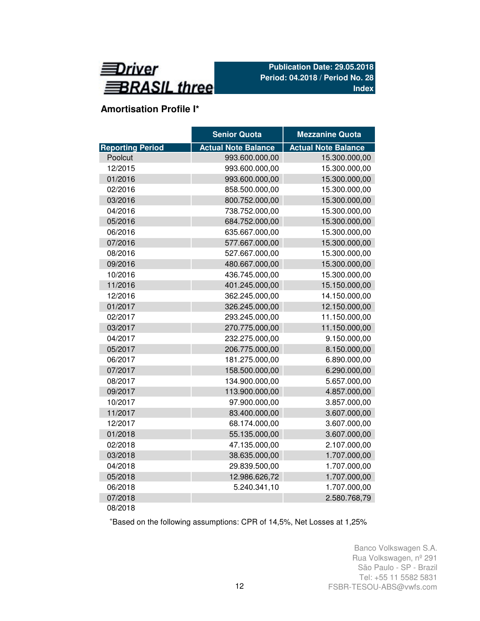

# **Amortisation Profile I\***

|                         | <b>Senior Quota</b>        | <b>Mezzanine Quota</b>     |
|-------------------------|----------------------------|----------------------------|
| <b>Reporting Period</b> | <b>Actual Note Balance</b> | <b>Actual Note Balance</b> |
| Poolcut                 | 993.600.000,00             | 15.300.000,00              |
| 12/2015                 | 993.600.000,00             | 15.300.000,00              |
| 01/2016                 | 993.600.000,00             | 15.300.000,00              |
| 02/2016                 | 858.500.000,00             | 15.300.000,00              |
| 03/2016                 | 800.752.000,00             | 15.300.000,00              |
| 04/2016                 | 738.752.000,00             | 15.300.000,00              |
| 05/2016                 | 684.752.000,00             | 15.300.000,00              |
| 06/2016                 | 635.667.000,00             | 15.300.000,00              |
| 07/2016                 | 577.667.000,00             | 15.300.000,00              |
| 08/2016                 | 527.667.000,00             | 15.300.000,00              |
| 09/2016                 | 480.667.000,00             | 15.300.000,00              |
| 10/2016                 | 436.745.000,00             | 15.300.000,00              |
| 11/2016                 | 401.245.000,00             | 15.150.000,00              |
| 12/2016                 | 362.245.000,00             | 14.150.000,00              |
| 01/2017                 | 326.245.000,00             | 12.150.000,00              |
| 02/2017                 | 293.245.000,00             | 11.150.000,00              |
| 03/2017                 | 270.775.000,00             | 11.150.000,00              |
| 04/2017                 | 232.275.000,00             | 9.150.000,00               |
| 05/2017                 | 206.775.000,00             | 8.150.000,00               |
| 06/2017                 | 181.275.000,00             | 6.890.000,00               |
| 07/2017                 | 158.500.000,00             | 6.290.000,00               |
| 08/2017                 | 134.900.000,00             | 5.657.000,00               |
| 09/2017                 | 113.900.000,00             | 4.857.000,00               |
| 10/2017                 | 97.900.000,00              | 3.857.000,00               |
| 11/2017                 | 83.400.000,00              | 3.607.000,00               |
| 12/2017                 | 68.174.000,00              | 3.607.000,00               |
| 01/2018                 | 55.135.000,00              | 3.607.000,00               |
| 02/2018                 | 47.135.000,00              | 2.107.000,00               |
| 03/2018                 | 38.635.000,00              | 1.707.000,00               |
| 04/2018                 | 29.839.500,00              | 1.707.000,00               |
| 05/2018                 | 12.986.626,72              | 1.707.000,00               |
| 06/2018                 | 5.240.341,10               | 1.707.000,00               |
| 07/2018                 |                            | 2.580.768,79               |
| 08/2018                 |                            |                            |

<sup>+</sup>Based on the following assumptions: CPR of 14,5%, Net Losses at 1,25%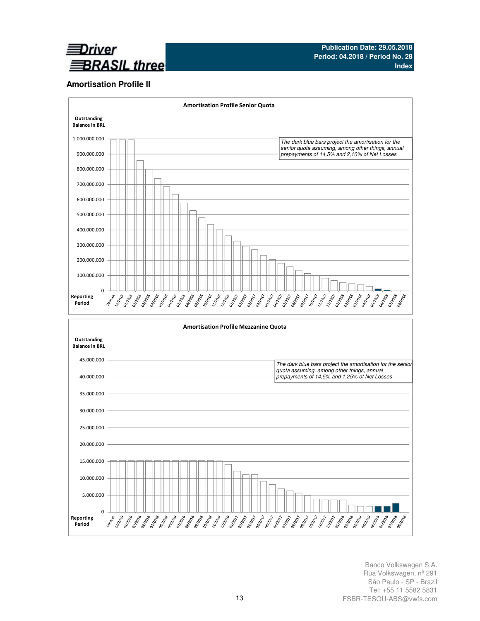

## **Amortisation Profile II**

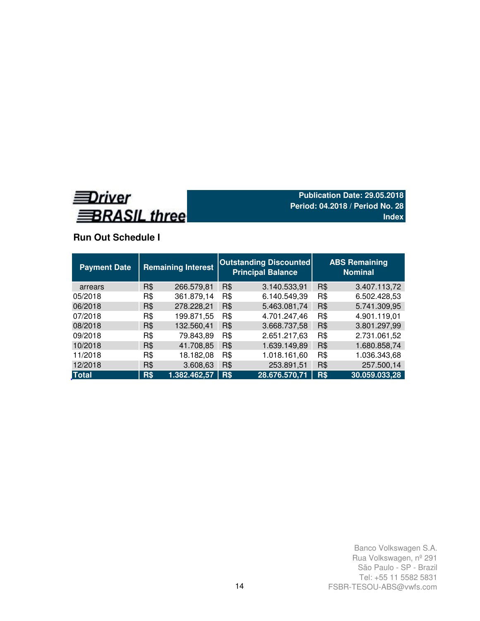

## **Run Out Schedule I**

| <b>Payment Date</b> | <b>Remaining Interest</b> |              | <b>Outstanding Discounted</b><br><b>Principal Balance</b> | <b>ABS Remaining</b><br><b>Nominal</b> |            |               |  |
|---------------------|---------------------------|--------------|-----------------------------------------------------------|----------------------------------------|------------|---------------|--|
| arrears             | R\$                       | 266.579,81   | R\$                                                       | 3.140.533,91                           | R\$        | 3.407.113,72  |  |
| 05/2018             | R\$                       | 361.879,14   | R\$                                                       | 6.140.549,39                           | R\$        | 6.502.428,53  |  |
| 06/2018             | <b>R\$</b>                | 278.228,21   | R\$                                                       | 5.463.081,74                           | <b>R\$</b> | 5.741.309,95  |  |
| 07/2018             | R\$                       | 199.871,55   | R\$                                                       | 4.701.247,46                           | R\$        | 4.901.119,01  |  |
| 08/2018             | <b>R\$</b>                | 132.560,41   | R\$                                                       | 3.668.737,58                           | R\$        | 3.801.297,99  |  |
| 09/2018             | R\$                       | 79.843,89    | R\$                                                       | 2.651.217,63                           | R\$        | 2.731.061,52  |  |
| 10/2018             | R\$                       | 41.708,85    | R\$                                                       | 1.639.149,89                           | R\$        | 1.680.858,74  |  |
| 11/2018             | R\$                       | 18.182,08    | R\$                                                       | 1.018.161,60                           | R\$        | 1.036.343,68  |  |
| 12/2018             | R\$                       | 3.608,63     | R\$                                                       | 253.891,51                             | R\$        | 257.500,14    |  |
| <b>Total</b>        | R\$                       | 1.382.462,57 | R\$                                                       | 28.676.570,71                          | R\$        | 30.059.033,28 |  |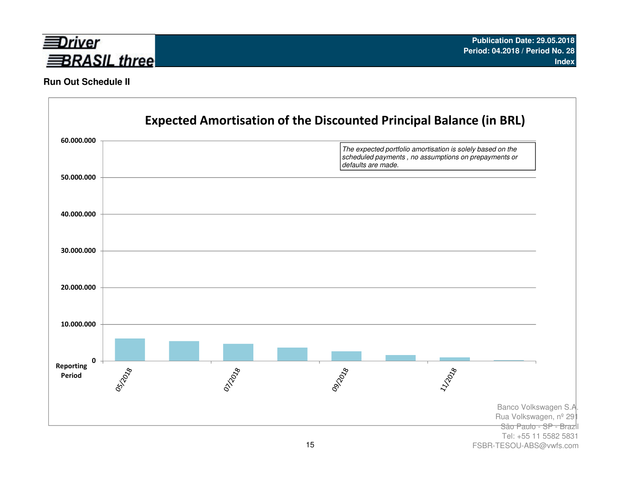

## **Run Out Schedule II**



FSBR-TESOU-ABS@vwfs.com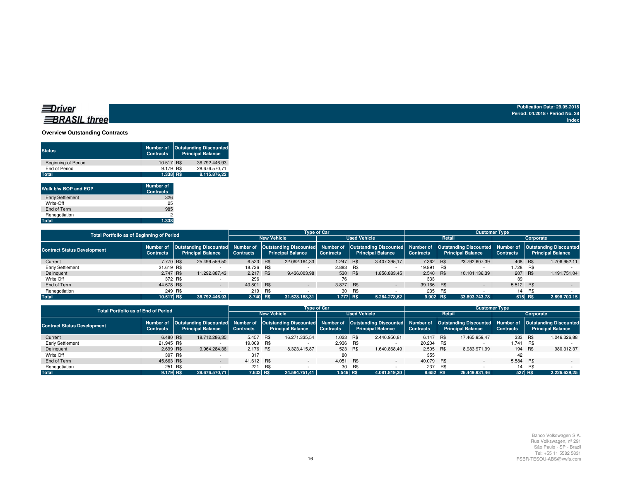## **Overview Outstanding Contracts**

| <b>Status</b>              | Number of<br><b>Contracts</b> | <b>Outstanding Discounted</b><br><b>Principal Balance</b> |
|----------------------------|-------------------------------|-----------------------------------------------------------|
| <b>Beginning of Period</b> | 10.517 R\$                    | 36.792.446.93                                             |
| End of Period              | 9.179 R\$                     | 28.676.570.71                                             |
| Total                      | 1.338 R\$                     | 8.115.876.22                                              |
|                            |                               |                                                           |

| Walk b/w BOP and EOP    | <b>Number of</b><br><b>Contracts</b> |
|-------------------------|--------------------------------------|
| <b>Early Settlement</b> | 326                                  |
| Write-Off               | 25                                   |
| End of Term             | 985                                  |
| Renegotiation           | 2                                    |
| Total                   | 1.338                                |

| Total Portfolio as of Beginning of Period |                  |  |                                                                        | <b>Type of Car</b> |     |                                                           |                  |                     |                                                                                                                                          | <b>Customer Type</b> |        |                          |                  |     |                          |  |  |
|-------------------------------------------|------------------|--|------------------------------------------------------------------------|--------------------|-----|-----------------------------------------------------------|------------------|---------------------|------------------------------------------------------------------------------------------------------------------------------------------|----------------------|--------|--------------------------|------------------|-----|--------------------------|--|--|
|                                           |                  |  |                                                                        | <b>New Vehicle</b> |     |                                                           |                  | <b>Used Vehicle</b> |                                                                                                                                          |                      | Retail |                          |                  |     | Corporate                |  |  |
| <b>Contract Status Development</b>        | <b>Contracts</b> |  | Number of Outstanding Discounted Number of<br><b>Principal Balance</b> | <b>Contracts</b>   |     | <b>Outstanding Discounted</b><br><b>Principal Balance</b> | <b>Contracts</b> |                     | Number of   Outstanding Discounted   Number of   Outstanding Discounted   Number of   Outstanding Discounted<br><b>Principal Balance</b> | <b>Contracts</b>     |        | <b>Principal Balance</b> | <b>Contracts</b> |     | <b>Principal Balance</b> |  |  |
| Current                                   | 7.770 R\$        |  | 25.499.559.50                                                          | 6.523 R\$          |     | 22.092.164.33                                             | 1.247 R\$        |                     | 3.407.395.17                                                                                                                             | 7.362 R\$            |        | 23.792.607,39            | 408 R\$          |     | 1.706.952,11             |  |  |
| Early Settlement                          | 21.619 R\$       |  |                                                                        | 18.736 R\$         |     |                                                           | 2.883 R\$        |                     |                                                                                                                                          | 19.891 R\$           |        |                          | 1.728 R\$        |     |                          |  |  |
| Delinquent                                | 2.747 R\$        |  | 11.292.887.43                                                          | 2.217 R\$          |     | 9.436.003.98                                              | 530 R\$          |                     | 1.856.883.45                                                                                                                             | 2.540 R\$            |        | 10.101.136.39            | 207 R\$          |     | 1.191.751.04             |  |  |
| Write Off                                 | 372 R\$          |  |                                                                        | 296                |     |                                                           | 76               |                     |                                                                                                                                          | 333                  |        |                          | 39               |     |                          |  |  |
| End of Term                               | 44.678 R\$       |  |                                                                        | 40.801 R\$         |     | $\sim$                                                    | 3.877 R\$        |                     | $\sim$                                                                                                                                   | 39.166 R\$           |        | $\sim$                   | 5.512 R\$        |     | $\sim$                   |  |  |
| Renegotiation                             | 249 R\$          |  |                                                                        | 219                | R\$ |                                                           |                  | 30 R\$              |                                                                                                                                          | 235 R\$              |        |                          | 14               | R\$ |                          |  |  |
| <b>Total</b>                              | 10.517 R\$       |  | 36.792.446.93                                                          | 8.740 R\$          |     | 31.528.168.31                                             | 1.777 R\$        |                     | 5.264.278.62                                                                                                                             | 9.902 R\$            |        | 33.893.743.78            | 615 R\$          |     | 2.898.703,15             |  |  |

| <b>Total Portfolio as of End of Period</b> |                               |                          |                  |             |                                                                                                                                                                                                                         | <b>Type of Car</b> |                     |                          | <b>Customer Type</b> |           |                          |                  |         |                          |  |  |
|--------------------------------------------|-------------------------------|--------------------------|------------------|-------------|-------------------------------------------------------------------------------------------------------------------------------------------------------------------------------------------------------------------------|--------------------|---------------------|--------------------------|----------------------|-----------|--------------------------|------------------|---------|--------------------------|--|--|
|                                            |                               |                          |                  |             |                                                                                                                                                                                                                         |                    | <b>Used Vehicle</b> |                          |                      | Retail    |                          |                  |         | Corporate                |  |  |
| <b>Contract Status Development</b>         | Number of<br><b>Contracts</b> | <b>Principal Balance</b> | <b>Contracts</b> |             | Outstanding Discounted Number of Outstanding Discounted Number of Outstanding Discounted Number of Outstanding Discounted Number of Outstanding Discounted Number of Outstanding Discounted<br><b>Principal Balance</b> | <b>Contracts</b>   |                     | <b>Principal Balance</b> | <b>Contracts</b>     |           | <b>Principal Balance</b> | <b>Contracts</b> |         | <b>Principal Balance</b> |  |  |
| Current                                    | 6.480 R\$                     | 18.712.286.35            |                  | 5.457 R\$   | 16.271.335.54                                                                                                                                                                                                           | 1.023 R\$          |                     | 2.440.950.81             | 6.147 R\$            |           | 17.465.959.47            | 333 R\$          |         | 1.246.326.88             |  |  |
| Early Settlement                           | 21.945 R\$                    |                          |                  | 19.009 R\$  |                                                                                                                                                                                                                         | 2.936 R\$          |                     |                          | 20.204 R\$           |           |                          | 1.741 R\$        |         |                          |  |  |
| Delinquent                                 | 2.699 R\$                     | 9.964.284.36             |                  | 2.176 R\$   | 8.323.415.87                                                                                                                                                                                                            |                    | 523 R\$             | 1.640.868.49             | 2.505 R\$            |           | 8.983.971.99             | 194 R\$          |         | 980.312.37               |  |  |
| Write Off                                  | 397 R\$                       |                          | 317              |             |                                                                                                                                                                                                                         | 80                 |                     |                          | 355                  |           |                          | 42               |         |                          |  |  |
| End of Term                                | 45.663 R\$                    |                          |                  | 41.612 R\$  |                                                                                                                                                                                                                         | 4.051 R\$          |                     | $\sim$                   | 40.079 R\$           |           |                          | 5.584 R\$        |         |                          |  |  |
| Renegotiation                              | 251                           | R\$                      | 221              | R\$         |                                                                                                                                                                                                                         | 30                 | R\$                 |                          | 237                  | <b>BS</b> |                          |                  | 14 R\$  |                          |  |  |
| <b>Total</b>                               | 9.179 RS                      | 28.676.570.71            |                  | $7.633$ R\$ | 24.594.751.41                                                                                                                                                                                                           | $1.546$ R\$        |                     | 4.081.819.30             | 8.652 R\$            |           | 26.449.931.46            |                  | 527 R\$ | 2.226.639.25             |  |  |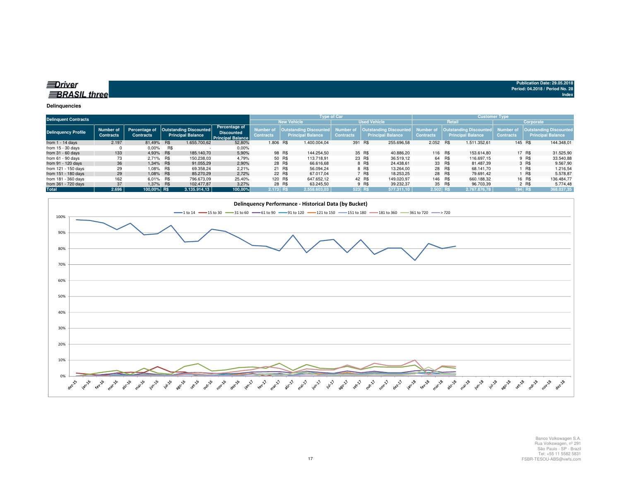| ≡Driver             |  |
|---------------------|--|
| <b>BRASIL</b> three |  |

#### **Delinquencies**

|                            | <b>Delinquent Contracts</b>   |                                   |     |                                                    |                                                                       |                                           |         | <b>Type of Car</b>                                        |                               |        |                                                    |                                      |        | <b>Customer Type</b>                               |                               |        |                                                           |  |
|----------------------------|-------------------------------|-----------------------------------|-----|----------------------------------------------------|-----------------------------------------------------------------------|-------------------------------------------|---------|-----------------------------------------------------------|-------------------------------|--------|----------------------------------------------------|--------------------------------------|--------|----------------------------------------------------|-------------------------------|--------|-----------------------------------------------------------|--|
|                            |                               |                                   |     |                                                    |                                                                       | <b>New Vehicle</b><br><b>Used Vehicle</b> |         |                                                           |                               |        | Retail<br>Corporate                                |                                      |        |                                                    |                               |        |                                                           |  |
| <b>Delinquency Profile</b> | Number of<br><b>Contracts</b> | Percentage of<br><b>Contracts</b> |     | Outstanding Discounted<br><b>Principal Balance</b> | <b>Percentage of</b><br><b>Discounted</b><br><b>Principal Balance</b> | <b>Number</b> of<br><b>Contracts</b>      |         | <b>Outstanding Discounted</b><br><b>Principal Balance</b> | Number of<br><b>Contracts</b> |        | Outstanding Discounted<br><b>Principal Balance</b> | <b>Number of</b><br><b>Contracts</b> |        | Outstanding Discounted<br><b>Principal Balance</b> | Number of<br><b>Contracts</b> |        | <b>Outstanding Discounted</b><br><b>Principal Balance</b> |  |
| from $1 - 14$ days         | 2.197                         | 81,49% R\$                        |     | 1.655.700.62                                       | 52,80%                                                                | 1.806 R\$                                 |         | 1.400.004.04                                              | 391 R\$                       |        | 255.696,58                                         | 2.052 R\$                            |        | 1.511.352.61                                       | 145 R\$                       |        | 144.348.01                                                |  |
| from $15 - 30$ days        |                               | $0.00\%$                          | R\$ |                                                    | $0.00\%$                                                              |                                           |         |                                                           |                               |        |                                                    |                                      |        |                                                    |                               |        |                                                           |  |
| from $31 - 60$ days        | 133                           | 4,93% R\$                         |     | 185.140.70                                         | 5,90%                                                                 |                                           | 98 R\$  | 144.254.50                                                |                               | 35 R\$ | 40.886.20                                          | 116 R\$                              |        | 153.614.80                                         |                               | 17 R\$ | 31.525,90                                                 |  |
| from $61 - 90$ days        | 73                            | 2.71% R\$                         |     | 150.238.03                                         | 4,79%                                                                 |                                           | 50 R\$  | 113.718.91                                                |                               | 23 R\$ | 36.519.12                                          |                                      | 64 R\$ | 116.697.15                                         |                               | 9 R\$  | 33.540,88                                                 |  |
| from 91 - 120 days         | 36                            | 1.34% R\$                         |     | 91.055,29                                          | 2,90%                                                                 |                                           | 28 R\$  | 66.616.68                                                 |                               | 8 R\$  | 24.438.61                                          |                                      | 33 R\$ | 81.487.39                                          |                               | 3 R\$  | 9.567,90                                                  |  |
| from 121 - 150 days        | 29                            | 1.08% R\$                         |     | 69.358,24                                          | 2,21%                                                                 |                                           | 21 R\$  | 56.094.24                                                 |                               | 8 R\$  | 13.264.00                                          |                                      | 28 R\$ | 68.141.70                                          |                               | R\$    | 1.216,54                                                  |  |
| from 151 - 180 days        | 29                            | 1.08% R\$                         |     | 85,270,29                                          | 2.72%                                                                 |                                           | 22 R\$  | 67.017.04                                                 |                               | 7 R\$  | 18.253.25                                          |                                      | 28 R\$ | 79.691.42                                          |                               | ∣ R\$  | 5.578.87                                                  |  |
| from 181 - 360 days        | 162                           | 6.01% R\$                         |     | 796.673,09                                         | 25,40%                                                                |                                           | 120 R\$ | 647.652.12                                                |                               | 42 R\$ | 149.020.97                                         | 146 R\$                              |        | 660.188,32                                         |                               | 16 R\$ | 136.484.77                                                |  |
| from 361 - 720 days        | 37                            | 1,37% R\$                         |     | 102.477.87                                         | 3,27%                                                                 |                                           | 28 R\$  | 63.245.50                                                 |                               | 9 R\$  | 39.232.37                                          |                                      | 35 R\$ | 96.703.39                                          |                               | 2 R\$  | 5.774,48                                                  |  |
| Total                      | 2.696                         | 100.00% R\$                       |     | 3.135.914.13                                       | 100,00%                                                               | 2.173 RS                                  |         | 2.558.603.03                                              | 523 R\$                       |        | 577.311.10                                         | 2.502 RS                             |        | 2.767.876.78                                       | $194$ R\$                     |        | 368.037,35                                                |  |

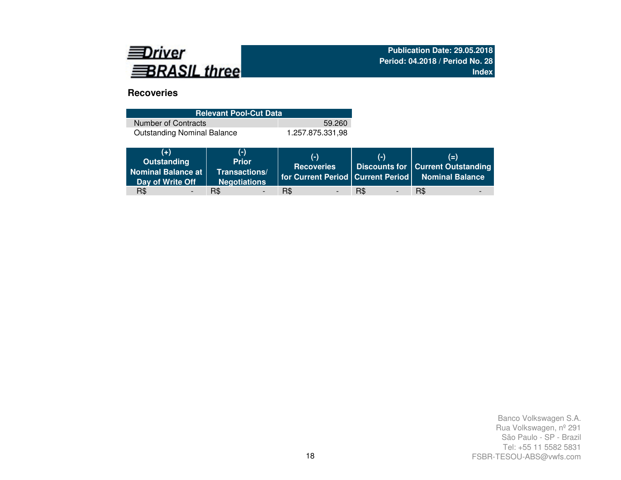

# **Recoveries**

| <b>Relevant Pool-Cut Data</b>      |                  |  |  |  |  |  |  |  |  |
|------------------------------------|------------------|--|--|--|--|--|--|--|--|
| Number of Contracts                | 59.260           |  |  |  |  |  |  |  |  |
| <b>Outstanding Nominal Balance</b> | 1.257.875.331.98 |  |  |  |  |  |  |  |  |

| $(+)$<br>Outstanding<br>Nominal Balance at  <br>Day of Write Off | $(-)$<br><b>Prior</b><br>Transactions/<br><b>Negotiations</b> | $(-)$<br><b>Recoveries</b> | $(-)$    | $(=\)$<br>Discounts for   Current Outstanding<br>   for Current Period   Current Period   Nominal Balance |
|------------------------------------------------------------------|---------------------------------------------------------------|----------------------------|----------|-----------------------------------------------------------------------------------------------------------|
| R\$                                                              | R\$                                                           | R\$                        | R\$<br>- | R\$                                                                                                       |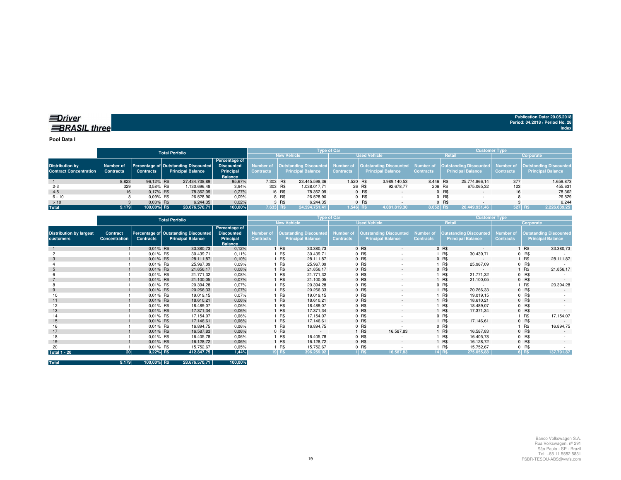**Pool Data I**

|                                                         |                               |                  | <b>Total Porfolio</b>                                                   |                                                                   | <b>Tvpe of Car</b>                        |        |                                                                            |                  |        |                                                                     | <b>Customer Type</b> |           |                                                           |                               |                                                           |  |
|---------------------------------------------------------|-------------------------------|------------------|-------------------------------------------------------------------------|-------------------------------------------------------------------|-------------------------------------------|--------|----------------------------------------------------------------------------|------------------|--------|---------------------------------------------------------------------|----------------------|-----------|-----------------------------------------------------------|-------------------------------|-----------------------------------------------------------|--|
|                                                         |                               |                  |                                                                         |                                                                   | <b>New Vehicle</b><br><b>Used Vehicle</b> |        |                                                                            |                  |        | Retail                                                              |                      | Corporate |                                                           |                               |                                                           |  |
| <b>Distribution by</b><br><b>Contract Concentration</b> | Number of<br><b>Contracts</b> | <b>Contracts</b> | <b>Percentage of Outstanding Discounted</b><br><b>Principal Balance</b> | Percentage of<br><b>Discounted</b><br>Principal<br><b>Balance</b> | Contracts                                 |        | Number of   Outstanding Discounted   Number of<br><b>Principal Balance</b> | <b>Contracts</b> |        | <b>Outstanding Discounted</b> Number of<br><b>Principal Balance</b> | <b>Contracts</b>     |           | <b>Outstanding Discounted</b><br><b>Principal Balance</b> | Number of<br><b>Contracts</b> | <b>Dutstanding Discounted</b><br><b>Principal Balance</b> |  |
|                                                         | 8.823                         | 96.12% R\$       | 27.434.738.89                                                           | 95.67%                                                            | 7.303 R\$                                 |        | 23.445.598.36                                                              | 1.520 R\$        |        | 3.989.140.53                                                        | 8.446 R\$            |           | 25.774.866.14                                             | 377                           | 1.659.873                                                 |  |
| $2 - 3$                                                 | 329                           | 3.58% R\$        | 1.130.696,48                                                            | 3,94%                                                             | 303 R\$                                   |        | 1.038.017,71                                                               |                  | 26 R\$ | 92.678.77                                                           | 206 R\$              |           | 675.065,32                                                | 123                           | 455.631                                                   |  |
| $4 - 5$                                                 | 16                            | 0.17% R\$        | 78.362.09                                                               | 0,27%                                                             |                                           | 16 R\$ | 78.362.09                                                                  |                  | 0 R\$  |                                                                     |                      | 0 R\$     |                                                           | 16                            | 78.362                                                    |  |
| $6 - 10$                                                |                               | $0.09\%$ R\$     | 26.528.90                                                               | 0.09%                                                             |                                           | 8 R\$  | 26.528.90                                                                  |                  | 0 R\$  |                                                                     |                      | $0$ R\$   |                                                           |                               | 26.529                                                    |  |
| >10                                                     |                               | $0.03\%$ R\$     | 6.244.35                                                                | 0,02%                                                             |                                           | 3 R\$  | 6.244.35                                                                   |                  | 0 R\$  |                                                                     |                      | $0$ R\$   |                                                           |                               | 6.244                                                     |  |
| <b>Total</b>                                            | 9.179                         | 100,00% R\$      | 28.676.570.71                                                           | 100,00%                                                           | 7.633 RS                                  |        | 24.594.751.41                                                              | $1.546$ RS       |        | 4.081.819.30                                                        | $8.652$ RS           |           | 26.449.931.46                                             |                               | 527 RS<br>2.226.639,25                                    |  |

|                                             |                           |                  | <b>Total Porfolio</b>                                            |                                                                   | Type of Car                          |            |                                                           |                                      |         |                                                           | <b>Customer Type</b>                 |         |                                                           |                                      |           |                                                           |
|---------------------------------------------|---------------------------|------------------|------------------------------------------------------------------|-------------------------------------------------------------------|--------------------------------------|------------|-----------------------------------------------------------|--------------------------------------|---------|-----------------------------------------------------------|--------------------------------------|---------|-----------------------------------------------------------|--------------------------------------|-----------|-----------------------------------------------------------|
|                                             |                           |                  |                                                                  |                                                                   |                                      |            | <b>New Vehicle</b>                                        |                                      |         | <b>Used Vehicle</b>                                       |                                      | Retail  |                                                           |                                      | Corporate |                                                           |
| <b>Distribution by largest</b><br>customers | Contract<br>Concentration | <b>Contracts</b> | Percentage of Outstanding Discounted<br><b>Principal Balance</b> | Percentage of<br><b>Discounted</b><br>Principal<br><b>Balance</b> | <b>Number of</b><br><b>Contracts</b> |            | <b>Outstanding Discounted</b><br><b>Principal Balance</b> | <b>Number of</b><br><b>Contracts</b> |         | <b>Outstanding Discounted</b><br><b>Principal Balance</b> | <b>Number of</b><br><b>Contracts</b> |         | <b>Outstanding Discounted</b><br><b>Principal Balance</b> | <b>Number of</b><br><b>Contracts</b> |           | <b>Outstanding Discounted</b><br><b>Principal Balance</b> |
|                                             |                           | 0.01% R\$        | 33.380,73                                                        | 0,12%                                                             |                                      | <b>R\$</b> | 33.380,73                                                 |                                      | $0$ R\$ | $\sim$                                                    |                                      | 0 R\$   | $\sim$                                                    |                                      | 1 R\$     | 33.380,73                                                 |
|                                             |                           | 0.01% R\$        | 30.439,71                                                        | 0,11%                                                             |                                      | 1 R\$      | 30.439,71                                                 |                                      | $0$ R\$ |                                                           |                                      | R\$     | 30.439,71                                                 |                                      | 0 R\$     |                                                           |
| 3                                           |                           | 0.01% R\$        | 28.111,87                                                        | 0,10%                                                             |                                      | <b>R\$</b> | 28.111,87                                                 |                                      | 0 R\$   | $\sim$                                                    |                                      | 0 R\$   | $\sim$                                                    |                                      | 1 R\$     | 28.111,87                                                 |
|                                             |                           | 0.01% R\$        | 25.967,09                                                        | 0.09%                                                             |                                      | <b>R\$</b> | 25.967,09                                                 |                                      | $0$ R\$ | ٠                                                         |                                      | R\$     | 25.967,09                                                 |                                      | $0$ R\$   |                                                           |
| $\mathbf b$                                 |                           | 0.01% R\$        | 21.856,17                                                        | 0,08%                                                             |                                      | <b>R\$</b> | 21.856,17                                                 |                                      | 0 R\$   | $\sim$                                                    |                                      | $0$ R\$ | $\sim$                                                    |                                      | 1 R\$     | 21.856,17                                                 |
|                                             |                           | 0.01% R\$        | 21.771,32                                                        | 0,08%                                                             |                                      | <b>R\$</b> | 21.771,32                                                 |                                      | $0$ R\$ |                                                           |                                      | R\$     | 21.771,32                                                 |                                      | $0$ R\$   |                                                           |
|                                             |                           | 0.01% R\$        | 21.100,05                                                        | 0,07%                                                             |                                      | <b>R\$</b> | 21.100,05                                                 |                                      | 0 R\$   | $\sim$                                                    |                                      | R\$     | 21.100,05                                                 |                                      | $0$ R\$   |                                                           |
|                                             |                           | 0.01% R\$        | 20.394,28                                                        | 0,07%                                                             |                                      | R\$        | 20.394,28                                                 |                                      | $0$ R\$ |                                                           |                                      | $0$ R\$ |                                                           |                                      | 1 R\$     | 20.394,28                                                 |
| 9                                           |                           | 0.01% R\$        | 20.266,33                                                        | 0,07%                                                             |                                      | <b>R\$</b> | 20.266,33                                                 |                                      | 0 R\$   | $\sim$                                                    |                                      | R\$     | 20.266,33                                                 |                                      | 0 R\$     |                                                           |
| 10                                          |                           | $0.01\%$ R\$     | 19.019,15                                                        | 0,07%                                                             |                                      | 1 R\$      | 19.019,15                                                 |                                      | $0$ R\$ | ٠                                                         |                                      | R\$     | 19.019,15                                                 |                                      | $0$ R\$   |                                                           |
| 11                                          |                           | 0.01% R\$        | 18.610,21                                                        | 0,06%                                                             |                                      | <b>R\$</b> | 18.610,21                                                 |                                      | 0 R\$   | $\sim$                                                    |                                      | R\$     | 18.610,21                                                 |                                      | $0$ R\$   | $\sim$                                                    |
| 12                                          |                           | $0.01\%$ R\$     | 18.489,07                                                        | 0,06%                                                             |                                      | R\$        | 18.489,07                                                 |                                      | $0$ R\$ |                                                           |                                      | R\$     | 18.489,07                                                 |                                      | $0$ R\$   |                                                           |
| 13                                          |                           | 0.01% R\$        | 17.371,34                                                        | 0,06%                                                             |                                      | <b>R\$</b> | 17.371,34                                                 |                                      | 0 R\$   | $\sim$                                                    |                                      | R\$     | 17.371,34                                                 |                                      | $0$ R\$   |                                                           |
| 14                                          |                           | 0.01% R\$        | 17.154,07                                                        | 0,06%                                                             |                                      | <b>R\$</b> | 17.154,07                                                 |                                      | $0$ R\$ | ٠                                                         |                                      | 0 R\$   |                                                           |                                      | 1 R\$     | 17.154,07                                                 |
| 15                                          |                           | $0.01\%$ R\$     | 17.146,61                                                        | 0,06%                                                             |                                      | 1 R\$      | 17.146,61                                                 |                                      | 0 R\$   | $\sim$                                                    |                                      | R\$     | 17.146,61                                                 |                                      | $0$ R\$   |                                                           |
| 16                                          |                           | 0.01% R\$        | 16.894,75                                                        | 0,06%                                                             |                                      | R\$        | 16.894,75                                                 |                                      | $0$ R\$ | $\sim$                                                    |                                      | 0 R\$   | $\sim$                                                    |                                      | 1 R\$     | 16.894,75                                                 |
| 17                                          |                           | 0.01% R\$        | 16.587,83                                                        | 0,06%                                                             |                                      | 0 R\$      | $\sim$                                                    |                                      | 1 R\$   | 16.587,83                                                 |                                      | R\$     | 16.587,83                                                 |                                      | $0$ R\$   | $\sim$                                                    |
| 18                                          |                           | 0.01% R\$        | 16.405,78                                                        | 0,06%                                                             |                                      | <b>R\$</b> | 16.405,78                                                 |                                      | $0$ R\$ |                                                           |                                      | R\$     | 16.405,78                                                 |                                      | $0$ R\$   |                                                           |
| 19                                          |                           | $0.01\%$ R\$     | 16.128,72                                                        | 0,06%                                                             |                                      | <b>R\$</b> | 16.128,72                                                 |                                      | 0 R\$   | $\sim$                                                    |                                      | R\$     | 16.128,72                                                 |                                      | 0 R\$     |                                                           |
| 20                                          |                           | 0.01% R\$        | 15.752,67                                                        | 0,05%                                                             |                                      | 1 R\$      | 15.752,67                                                 |                                      | $0$ R\$ |                                                           |                                      | R\$     | 15.752,67                                                 |                                      | $0$ R\$   |                                                           |
| <b>Total 1 - 20</b>                         | 20 <sup>1</sup>           | $0,22%$ R\$      | 412.847,75                                                       | 1,44%                                                             |                                      | 19 R\$     | 396.259,92                                                |                                      | $1$ RS  | 16.587,83                                                 |                                      | 14 R\$  | 275.055,88                                                |                                      | 6 RS      | 137.791,87                                                |

**Total 9.179 100,00% R\$ 28.676.570,71 100,00%**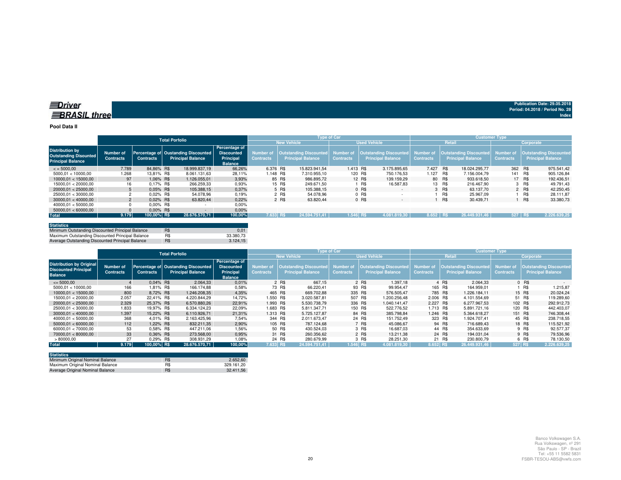### **Pool Data II**

|                                                                                    |                               |                  | <b>Total Porfolio</b>                                           |                                                                          |                               |                                                    | <b>Type of Car</b>            |                                                                     | <b>Customer Type</b> |            |                                                              |                  |            |                                                            |
|------------------------------------------------------------------------------------|-------------------------------|------------------|-----------------------------------------------------------------|--------------------------------------------------------------------------|-------------------------------|----------------------------------------------------|-------------------------------|---------------------------------------------------------------------|----------------------|------------|--------------------------------------------------------------|------------------|------------|------------------------------------------------------------|
|                                                                                    |                               |                  |                                                                 |                                                                          |                               | <b>New Vehicle</b>                                 |                               | <b>Used Vehicle</b>                                                 |                      |            | <b>Retail</b>                                                |                  | Corporate  |                                                            |
| <b>Distribution by</b><br><b>Outstanding Disounted</b><br><b>Principal Balance</b> | Number of<br><b>Contracts</b> | <b>Contracts</b> | Percentage of Oustanding Discounted<br><b>Principal Balance</b> | Percentage of<br><b>Discounted</b><br><b>Principal</b><br><b>Balance</b> | Number of<br><b>Contracts</b> | Outstanding Discounted<br><b>Principal Balance</b> | Number of<br><b>Contracts</b> | <b>Outstanding Discounted</b> Number of<br><b>Principal Balance</b> | <b>Contracts</b>     |            | Outstanding Discounted Number of<br><b>Principal Balance</b> | <b>Contracts</b> |            | <b>Outstanding Discounted,</b><br><b>Principal Balance</b> |
| $\leq$ = 5000.00                                                                   | 7.789                         | 84.86% R\$       | 18.999.837.19                                                   | 66.26%                                                                   | 6.376 R\$                     | 15.823.941.54                                      | 1.413 R\$                     | 3.175.895.65                                                        | 7.427                | <b>R\$</b> | 18.024.295.77                                                | 362 R\$          |            | 975.541.42                                                 |
| 5000.01 < 10000.00                                                                 | 1.268                         | 13,81% R\$       | 8.061.131.63                                                    | 28,11%                                                                   | 1.148 R\$                     | 7.310.955.10                                       |                               | 120 R\$<br>750.176.53                                               | 1.127                | R\$        | 7.156.004.79                                                 | 141 R\$          |            | 905.126.84                                                 |
| 10000.01 < 15000.00                                                                | 97                            | 1.06% R\$        | 1.126.055.01                                                    | 3,93%                                                                    |                               | 85 R\$<br>986.895.72                               |                               | 12 R\$<br>139.159.29                                                |                      | 80 R\$     | 933.618.50                                                   |                  | 17 R\$     | 192.436,51                                                 |
| 15000.01 < 20000.00                                                                | 16                            | 0.17% R\$        | 266.259.33                                                      | 0.93%                                                                    |                               | 15 R\$<br>249.671.50                               |                               | <b>R\$</b><br>16.587.83                                             |                      | 13 R\$     | 216.467.90                                                   |                  | 3 R\$      | 49.791.43                                                  |
| 20000.01 < 25000.00                                                                |                               | $0.05\%$ R\$     | 105.388.15                                                      | 0.37%                                                                    |                               | 5 R\$<br>105.388.15                                |                               | $0$ R\$<br>$\sim$                                                   |                      | 3 R\$      | 63.137.70                                                    |                  | 2 R\$      | 42.250.45                                                  |
| 25000.01 < 30000.00                                                                |                               | $0.02\%$ R\$     | 54.078.96                                                       | 0.19%                                                                    |                               | 2 R\$<br>54.078.96                                 |                               | 0 R\$                                                               |                      | R\$        | 25.967.09                                                    |                  | R\$        | 28.111.87                                                  |
| 30000.01 < 40000.00                                                                |                               | $0.02\%$ R\$     | 63.820.44                                                       | 0,22%                                                                    |                               | 2 R\$<br>63.820.44                                 |                               | 0 R\$<br>$\sim$                                                     |                      | R\$        | 30.439,71                                                    |                  | <b>R\$</b> | 33.380,73                                                  |
| 40000.01 < 50000.00                                                                |                               | $0.00\%$ R\$     |                                                                 | 0,00%                                                                    |                               |                                                    |                               |                                                                     |                      |            |                                                              |                  |            |                                                            |
| 50000.01 < 60000.00                                                                |                               | $0.00\%$ R\$     |                                                                 | 0.00%                                                                    |                               |                                                    |                               |                                                                     |                      |            |                                                              |                  |            |                                                            |
| <b>Total</b>                                                                       | 9.179                         | 100,00% R\$      | 28.676.570.71                                                   | 100,00%                                                                  | 7.633 RS                      | 24.594.751.41                                      | 1.546 RS                      | 4.081.819.30                                                        | 8.652 RS             |            | 26.449.931.46                                                | $527$ RS         |            | 2.226.639.25                                               |

| <b>Statistics</b>                                |     |               |
|--------------------------------------------------|-----|---------------|
| Minimum Outstanding Discounted Principal Balance | R\$ | $0.0^{\circ}$ |
| Maximum Outstanding Discounted Principal Balance | R\$ | 33.380.73     |
| Average Outstanding Discounted Principal Balance | R\$ | 3.124.15      |

|                                                                                  |                               |                  | <b>Total Porfolio</b>                                           |                                                                   |                                      |                                                    | <b>Type of Car</b>            |                                                    |                               | <b>Customer Type</b>                                      |                                      |                                                    |  |  |
|----------------------------------------------------------------------------------|-------------------------------|------------------|-----------------------------------------------------------------|-------------------------------------------------------------------|--------------------------------------|----------------------------------------------------|-------------------------------|----------------------------------------------------|-------------------------------|-----------------------------------------------------------|--------------------------------------|----------------------------------------------------|--|--|
|                                                                                  |                               |                  |                                                                 |                                                                   | <b>New Vehicle</b>                   |                                                    |                               | <b>Used Vehicle</b>                                | Retail                        |                                                           |                                      | Corporate                                          |  |  |
| <b>Distribution by Original</b><br><b>Discounted Principal</b><br><b>Balance</b> | Number of<br><b>Contracts</b> | <b>Contracts</b> | Percentage of Oustanding Discounted<br><b>Principal Balance</b> | Percentage of<br><b>Discounted</b><br>Principal<br><b>Balance</b> | <b>Number of</b><br><b>Contracts</b> | Outstanding Discounted<br><b>Principal Balance</b> | Number of<br><b>Contracts</b> | Outstanding Discounted<br><b>Principal Balance</b> | Number of<br><b>Contracts</b> | <b>Outstanding Discounted</b><br><b>Principal Balance</b> | <b>Number of</b><br><b>Contracts</b> | <b>Outstanding Discounted</b><br>Principal Balance |  |  |
| $\leq$ 5000.00                                                                   |                               | $0.04\%$ R\$     | 2.064,33                                                        | 0.01%                                                             |                                      | 2 R\$<br>667.15                                    |                               | 2 R\$<br>1.397.18                                  |                               | 4 R\$<br>2.064.33                                         |                                      | 0 R\$                                              |  |  |
| 5000.01 < 10000.00                                                               | 166                           | 1.81% R\$        | 166.174.88                                                      | 0,58%                                                             |                                      | 73 R\$<br>66.220.41                                |                               | 93 R\$<br>99.954.47                                | 165 R\$                       | 164.959.01                                                |                                      | R\$<br>1.215.87                                    |  |  |
| 10000.01 < 15000.00                                                              | 800                           | 8.72% R\$        | 1.246.208.35                                                    | 4,35%                                                             | 465 R\$                              | 669.702.88                                         | 335 R\$                       | 576.505.47                                         |                               | 785 R\$<br>1.226.184.11                                   |                                      | 15 R\$<br>20.024.24                                |  |  |
| 15000.01 < 20000.00                                                              | 2.057                         | 22.41% R\$       | 4.220.844.29                                                    | 14.72%                                                            | 1.550 R\$                            | 3.020.587.81                                       | 507 R\$                       | 1.200.256.48                                       | 2.006 R\$                     | 4.101.554.69                                              |                                      | 51 R\$<br>119.289,60                               |  |  |
| 20000.01 < 25000.00                                                              | 2.329                         | 25.37% R\$       | 6.570.880.26                                                    | 22.91%                                                            | 1.993 R\$                            | 5.530.738.79                                       | 336 R\$                       | 1.040.141.47                                       | 2.227 R\$                     | 6.277.967.53                                              | 102 R\$                              | 292.912.73                                         |  |  |
| 25000.01 < 30000.00                                                              | 1.833                         | 19.97% R\$       | 6.334.124.23                                                    | 22,09%                                                            | 1.683 R\$                            | 5.811.347.71                                       | 150 R\$                       | 522.776.52                                         | 1.713 R\$                     | 5.891.721.16                                              | 120 R\$                              | 442.403.07                                         |  |  |
| 30000.01 < 40000.00                                                              | 1.397                         | 15.22% R\$       | 6.110.926.71                                                    | 21.31%                                                            | 1.313 R\$                            | 5.725.127.87                                       |                               | 84 R\$<br>385.798.84                               | 1.246 R\$                     | 5.364.618.27                                              | 151 R\$                              | 746.308,44                                         |  |  |
| 40000.01 < 50000.00                                                              | 368                           | 4.01% R\$        | 2.163.425.96                                                    | 7,54%                                                             | 344 R\$                              | 2.011.673.47                                       |                               | 24 R\$<br>151.752.49                               |                               | 323 R\$<br>1.924.707.41                                   |                                      | 45 R\$<br>238.718.55                               |  |  |
| 50000.01 < 60000.00                                                              | 112                           | 1.22% R\$        | 832.211.35                                                      | 2,90%                                                             | 105 R\$                              | 787.124.68                                         |                               | 7 R\$<br>45.086.67                                 |                               | 94 R\$<br>716.689.43                                      |                                      | 18 R\$<br>115.521,92                               |  |  |
| 60000.01 < 70000.00                                                              | 53                            | 0.58% R\$        | 447.211.06                                                      | 1.56%                                                             |                                      | 50 R\$<br>430.524.03                               |                               | 3 R\$<br>16.687.03                                 |                               | 44 R\$<br>354.633.69                                      |                                      | 9 R\$<br>92.577,37                                 |  |  |
| 70000.01 < 80000.00                                                              | 33                            | 0.36% R\$        | 273,568,00                                                      | 0.95%                                                             |                                      | 31 R\$<br>260.356.62                               |                               | 2 R\$<br>13.211.38                                 |                               | 24 R\$<br>194.031.04                                      |                                      | 9 R\$<br>79.536.96                                 |  |  |
| >80000,00                                                                        | 27                            | 0.29% R\$        | 308.931.29                                                      | 1.08%                                                             |                                      | 24 R\$<br>280.679.99                               |                               | 3 R\$<br>28.251.30                                 |                               | 21 R\$<br>230,800.79                                      |                                      | 6 R\$<br>78.130,50                                 |  |  |
| <b>Total</b>                                                                     | 9.179                         | 100,00% R\$      | 28.676.570.71                                                   | 100,00%                                                           | 7.633 RS                             | 24.594.751.41                                      | $1.546$ RS                    | 4.081.819.30                                       | 8.652 R\$                     | 26.449.931.46                                             | 527 R\$                              | 2.226.639,25                                       |  |  |

| <b>Statistics</b>                |     |            |
|----------------------------------|-----|------------|
| Minimum Original Nominal Balance | R\$ | 2.652.60   |
| Maximum Original Nominal Balance | R\$ | 329.161.20 |
| Average Original Nominal Balance | R\$ | 32.411.56  |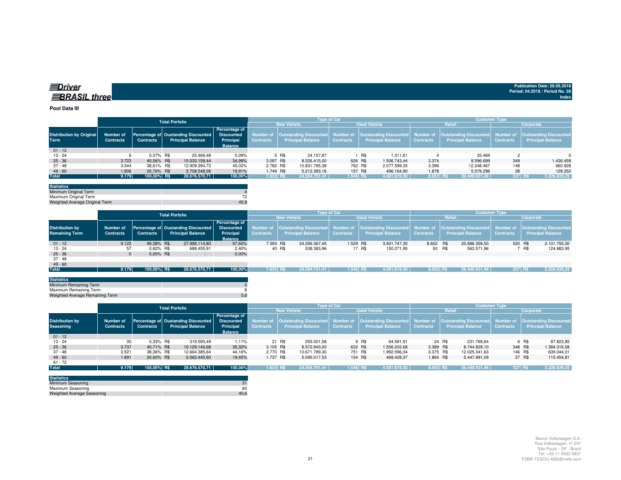| ≡ Driver             |  |
|----------------------|--|
| <b>∃BRASIL three</b> |  |

### **Pool Data III**

|                                 |                  |                  | <b>Total Porfolio</b>                                                  |                |                                                                                      |                    | <b>Type of Car</b> |                                                                                                    | <b>Customer Type</b> |                          |                  |                          |  |  |
|---------------------------------|------------------|------------------|------------------------------------------------------------------------|----------------|--------------------------------------------------------------------------------------|--------------------|--------------------|----------------------------------------------------------------------------------------------------|----------------------|--------------------------|------------------|--------------------------|--|--|
|                                 |                  |                  |                                                                        |                |                                                                                      | <b>New Vehicle</b> |                    | <b>Used Vehicle</b>                                                                                |                      | <b>Retail</b>            |                  | Corporate                |  |  |
| <b>Distribution by Original</b> | Number of        |                  | <b>Percentage of</b><br>Percentage of Oustanding Discounted Discounted |                |                                                                                      |                    |                    | Number of Cutstanding Discounted Number of Cutstanding Discounted Number of Cutstanding Discounted |                      |                          |                  |                          |  |  |
| <b>Term</b>                     | <b>Contracts</b> | <b>Contracts</b> | <b>Principal Balance</b>                                               | Principal      | Number of   Outstanding Discounted  <br><b>Principal Balance</b><br><b>Contracts</b> |                    | <b>Contracts</b>   | <b>Principal Balance</b>                                                                           | <b>Contracts</b>     | <b>Principal Balance</b> | <b>Contracts</b> | <b>Principal Balance</b> |  |  |
|                                 |                  |                  |                                                                        | <b>Balance</b> |                                                                                      |                    |                    |                                                                                                    |                      |                          |                  |                          |  |  |
| $01 - 12$                       |                  |                  |                                                                        |                |                                                                                      |                    |                    |                                                                                                    |                      |                          |                  |                          |  |  |
| 13 - 24                         |                  | $0.07\%$ R\$     | 25.469,48                                                              | 0,09%          |                                                                                      | 24.157.87<br>5 R\$ |                    | 1.311.61<br>R\$                                                                                    |                      | 25.469                   |                  | $\Omega$                 |  |  |
| $25 - 36$                       | 3.723            | 40.56% R\$       | 10.033.158.44                                                          | 34,99%         | 3.097 R\$                                                                            | 8.526.415,00       |                    | 626 R\$<br>1.506.743.44                                                                            | 3.374                | 8.596.699                | 349              | 1.436.459                |  |  |
| 37 - 48                         | 3.544            | 38,61% R\$       | 12.909.394,73                                                          | 45,02%         | 2.782 R\$                                                                            | 10.831.795,38      |                    | 762 R\$<br>2.077.599.35                                                                            | 3.396                | 12.248.467               | 148              | 660.928                  |  |  |
| $49 - 60$                       | 1.906            | 20.76% R\$       | 5.708.548.06                                                           | 19.91%         | 1.749 R\$                                                                            | 5.212.383.16       |                    | 157 R\$<br>496.164.90                                                                              | 1.878                | 5.579.296                | 28               | 129.252                  |  |  |
| <b>Total</b>                    | 9.179            | 100,00% R\$      | 28.676.570.71                                                          | 100,00%        | 7.633 R\$                                                                            | 24.594.751.41      | 1.546 R\$          | 4.081.819,30                                                                                       | 8.652 R\$            | 26.449.931.46            | 527 R\$          | 2.226.639,25             |  |  |

| <b>Statistics</b>              |      |
|--------------------------------|------|
| Minimum Original Term          |      |
| Maximum Original Term          |      |
| Weighted Average Original Term | 45.9 |

|                        | <b>Total Porfolio</b> |                                                                           |  |                          |                             | <b>Type of Car</b>                           |                                                                         |                  |                          |        |                  | <b>Customer Type</b> |                          |                               |           |                          |              |
|------------------------|-----------------------|---------------------------------------------------------------------------|--|--------------------------|-----------------------------|----------------------------------------------|-------------------------------------------------------------------------|------------------|--------------------------|--------|------------------|----------------------|--------------------------|-------------------------------|-----------|--------------------------|--------------|
|                        |                       |                                                                           |  |                          |                             | <b>New Vehicle</b>                           |                                                                         |                  | <b>Used Vehicle</b>      |        |                  | Retail               |                          |                               | Corporate |                          |              |
| <b>Distribution by</b> | Number of             | Percentage of<br><b>Discounted</b><br>Percentage of Oustanding Discounted |  | Number of                |                             | Outstanding Discounted Number of             | Outstanding Discounted   Number of   Outstanding Discounted   Number of |                  |                          |        |                  |                      |                          | <b>Outstanding Discounted</b> |           |                          |              |
| <b>Remaining Term</b>  | <b>Contracts</b>      | <b>Contracts</b>                                                          |  | <b>Principal Balance</b> | Principal<br><b>Balance</b> | <b>Principal Balance</b><br><b>Contracts</b> |                                                                         | <b>Contracts</b> | <b>Principal Balance</b> |        | <b>Contracts</b> |                      | <b>Principal Balance</b> | <b>Contracts</b>              |           | <b>Principal Balance</b> |              |
| $01 - 12$              | 9.122                 | 99.38% R\$                                                                |  | 27.988.114.80            | 97.60%                      | 7.593 R\$                                    |                                                                         | 24.056.367.45    | 1.529 R\$                |        | 3.931.747.35     | 8.602 R\$            |                          | 25.886.359.50                 | 520 R\$   |                          | 2.101.755.30 |
| $13 - 24$              | 57                    | 0.62% R\$                                                                 |  | 688.455,91               | 2,40%                       |                                              | 40 R\$                                                                  | 538.383,96       |                          | 17 R\$ | 150.071.95       | 50 R\$               |                          | 563.571.96                    |           | R\$                      | 124.883,95   |
| $25 - 36$              |                       | $0.00\%$ R\$                                                              |  | $\sim$                   | 0,00%                       |                                              |                                                                         |                  |                          |        |                  |                      |                          |                               |           |                          |              |
| $37 - 48$              |                       |                                                                           |  |                          |                             |                                              |                                                                         |                  |                          |        |                  |                      |                          |                               |           |                          |              |
| $49 - 60$              |                       |                                                                           |  |                          |                             |                                              |                                                                         |                  |                          |        |                  |                      |                          |                               |           |                          |              |
| <b>Total</b>           | 9.179                 | 100,00% R\$                                                               |  | 28.676.570.71            | 100,00%                     | 7.633 R\$                                    |                                                                         | 24.594.751.41    | $1.546$ RS               |        | 4.081.819.30     | 8.652 RS             |                          | 26.449.931.46                 | 527 RS    |                          | 2.226.639,25 |
|                        |                       |                                                                           |  |                          |                             |                                              |                                                                         |                  |                          |        |                  |                      |                          |                               |           |                          |              |

| <b>Statistics</b>               |  |
|---------------------------------|--|
| Minimum Remaining Term          |  |
| Maximum Remaining Term          |  |
| Weighted Average Remaining Term |  |
|                                 |  |

|                                            |                                      |                  | <b>Total Porfolio</b>                                           |                                                                          |                                      |                                                    | <b>Type of Car</b> |                                                                            | <b>Customer Type</b> |                          |                  |                                                                                         |  |  |
|--------------------------------------------|--------------------------------------|------------------|-----------------------------------------------------------------|--------------------------------------------------------------------------|--------------------------------------|----------------------------------------------------|--------------------|----------------------------------------------------------------------------|----------------------|--------------------------|------------------|-----------------------------------------------------------------------------------------|--|--|
|                                            |                                      |                  |                                                                 |                                                                          |                                      | <b>New Vehicle</b>                                 |                    | <b>Used Vehicle</b>                                                        |                      | <b>Retail</b>            | Corporate        |                                                                                         |  |  |
| <b>Distribution by</b><br><b>Seasoning</b> | <b>Number of</b><br><b>Contracts</b> | <b>Contracts</b> | Percentage of Oustanding Discounted<br><b>Principal Balance</b> | <b>Percentage of</b><br><b>Discounted</b><br>Principal<br><b>Balance</b> | <b>Number of</b><br><b>Contracts</b> | Outstanding Discounted<br><b>Principal Balance</b> | <b>Contracts</b>   | Number of   Outstanding Discounted   Number of<br><b>Principal Balance</b> | <b>Contracts</b>     | <b>Principal Balance</b> | <b>Contracts</b> | Outstanding Discounted   Number of   Outstanding Discounted<br><b>Principal Balance</b> |  |  |
| $01 - 12$                                  |                                      |                  |                                                                 |                                                                          |                                      |                                                    |                    |                                                                            |                      |                          |                  |                                                                                         |  |  |
| $13 - 24$                                  | 30                                   | $0.33\%$ R\$     | 319.593,49                                                      | 1.11%                                                                    |                                      | 21 R\$<br>255.001,58                               |                    | 9 R\$<br>64.591,91                                                         |                      | 24 R\$<br>231.769.64     |                  | 6 R\$<br>87.823.85                                                                      |  |  |
| $25 - 36$                                  | 3.737                                | 40.71% R\$       | 10.129.145.68                                                   | 35,32%                                                                   | 3.105 R\$                            | 8.572.943.00                                       | 632 R\$            | 1.556.202,68                                                               | 3.389 R\$            | 8.744.829.10             | 348 R\$          | 1.384.316,58                                                                            |  |  |
| $37 - 48$                                  | 3.521                                | 38.36% R\$       | 12.664.385,64                                                   | 44.16%                                                                   | 2.770 R\$                            | 10.671.789.30                                      | 751 R\$            | 1.992.596,34                                                               | 3.375 R\$            | 12.025.341.63            | 146 R\$          | 639.044,01                                                                              |  |  |
| $49 - 60$                                  | 1.891                                | 20.60% R\$       | 5.563.445,90                                                    | 19.40%                                                                   | 1.737 R\$                            | 5.095.017.53                                       | 154 R\$            | 468.428,37                                                                 | 1.864 R\$            | 5.447.991.09             |                  | 27 R\$<br>115.454.81                                                                    |  |  |
| $61 - 72$                                  |                                      |                  |                                                                 |                                                                          |                                      |                                                    |                    |                                                                            |                      |                          |                  |                                                                                         |  |  |
| <b>Total</b>                               | 9.179                                | 100.00% RS       | 28.676.570.71                                                   | 100,00%                                                                  | 7.633 R\$                            | 24.594.751.41                                      | 1.546 RS           | 4.081.819.30                                                               | 8.652 R\$            | 26.449.931.46            | 527 R\$          | 2.226.639,25                                                                            |  |  |

| <b>Statistics</b>                 |      |
|-----------------------------------|------|
| Minimum Seasoning                 |      |
| Maximum Seasoning                 | 60   |
| <b>Weighted Average Seasoning</b> | 40.6 |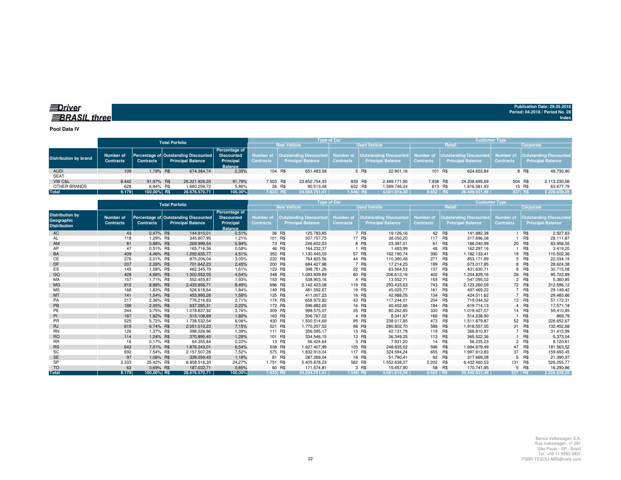## *<u>IDriver</u>* **BRASIL** three

**Publication Date: 29.05.2018Period: 04.2018 / Period No. 28 Index**

**Pool Data IV**

|                       |                                      | <b>Type of Car</b> |                                                                  |                                                                          |                               |                    |                          | <b>Customer Type</b> |                                                                                                  |              |                  |                                                                                            |               |                  |         |                          |
|-----------------------|--------------------------------------|--------------------|------------------------------------------------------------------|--------------------------------------------------------------------------|-------------------------------|--------------------|--------------------------|----------------------|--------------------------------------------------------------------------------------------------|--------------|------------------|--------------------------------------------------------------------------------------------|---------------|------------------|---------|--------------------------|
|                       |                                      |                    | <b>Total Porfolio</b>                                            |                                                                          |                               | <b>New Vehicle</b> |                          | <b>Used Vehicle</b>  |                                                                                                  |              |                  | Retail                                                                                     | Corporate     |                  |         |                          |
| Distribution by brand | <b>Number of</b><br><b>Contracts</b> | <b>Contracts</b>   | Percentage of Outstanding Discounted<br><b>Principal Balance</b> | <b>Percentage of</b><br><b>Discounted</b><br>Principal<br><b>Balance</b> | Number of<br><b>Contracts</b> |                    | <b>Principal Balance</b> | <b>Contracts</b>     | Outstanding Discounted  Number of  Outstanding Discounted  Number of<br><b>Principal Balance</b> |              | <b>Contracts</b> | <b>Outstanding Discounted</b> Number of Outstanding Discounted<br><b>Principal Balance</b> |               | <b>Contracts</b> |         | <b>Principal Balance</b> |
| <b>AUDI</b>           | 109                                  | 1.19% R\$          | 674.384.74                                                       | 2.35%                                                                    | 104 R\$                       |                    | 651.483.58               |                      | 5 R\$                                                                                            | 22.901.16    | 101 R\$          |                                                                                            | 624.653.84    |                  | 8 R\$   | 49.730.90                |
| <b>SEAT</b>           |                                      |                    |                                                                  |                                                                          |                               |                    |                          |                      |                                                                                                  |              |                  |                                                                                            |               |                  |         |                          |
| VW C&L                | 8.442                                | 91.97% R\$         | 26.321.926.25                                                    | 91.79%                                                                   | 7.503 R\$                     |                    | 23.852.754.35            |                      | 939 R\$                                                                                          | 2.469.171.90 | 7.938 R\$        |                                                                                            | 24.208.695.69 |                  | 504 R\$ | 2.113.230,56             |
| OTHER BRANDS          | 628                                  | 6.84% R\$          | 1.680.259.72                                                     | 5.86%                                                                    |                               | 26 R\$             | 90.513.48                |                      | 602 R\$                                                                                          | 1.589.746.24 | 613 R\$          |                                                                                            | 1.616.581.93  |                  | 15 R\$  | 63.677,79                |
| <b>Total</b>          | 9.179                                | 100.00% R\$        | 28.676.570.71                                                    | 100.00%                                                                  | 7.633 RS                      |                    | 24.594.751.41            | $1.546$ RS           |                                                                                                  | 4.081.819.30 | $8.652$ RS       |                                                                                            | 26.449.931.46 |                  | 527 R\$ | 2.226.639,25             |
|                       |                                      |                    |                                                                  |                                                                          |                               |                    |                          |                      |                                                                                                  |              |                  |                                                                                            |               |                  |         |                          |

|                                                             |                               |                  | <b>Total Porfolio</b>                                            | Type of Car                                                       |                                      |                                                           |                                      |         |                                                           | <b>Customer Type</b>          |         |                                                           |                                      |            |                                                           |  |
|-------------------------------------------------------------|-------------------------------|------------------|------------------------------------------------------------------|-------------------------------------------------------------------|--------------------------------------|-----------------------------------------------------------|--------------------------------------|---------|-----------------------------------------------------------|-------------------------------|---------|-----------------------------------------------------------|--------------------------------------|------------|-----------------------------------------------------------|--|
|                                                             |                               |                  |                                                                  |                                                                   |                                      | <b>New Vehicle</b>                                        |                                      |         | <b>Used Vehicle</b>                                       | Retail                        |         |                                                           |                                      |            | Corporate                                                 |  |
| <b>Distribution by</b><br>Geographic<br><b>Distribution</b> | Number of<br><b>Contracts</b> | <b>Contracts</b> | Percentage of Outstanding Discounted<br><b>Principal Balance</b> | Percentage of<br><b>Discounted</b><br>Principal<br><b>Balance</b> | <b>Number of</b><br><b>Contracts</b> | <b>Outstanding Discounted</b><br><b>Principal Balance</b> | <b>Number of</b><br><b>Contracts</b> |         | <b>Outstanding Discounted</b><br><b>Principal Balance</b> | Number of<br><b>Contracts</b> |         | <b>Outstanding Discounted</b><br><b>Principal Balance</b> | <b>Number of</b><br><b>Contracts</b> |            | <b>Outstanding Discounted</b><br><b>Principal Balance</b> |  |
| AC                                                          | 43                            | 0,47% R\$        | 144.910,01                                                       | 0,51%                                                             |                                      | 36 R\$<br>125.783,85                                      |                                      | 7 R\$   | 19.126,16                                                 |                               | 42 R\$  | 141.982.38                                                |                                      | 1 R\$      | 2.927,63                                                  |  |
| AL                                                          | 118                           | 1,29% R\$        | 345.807,95                                                       | 1,21%                                                             |                                      | 101 R\$<br>307.757,75                                     |                                      | 17 R\$  | 38.050,20                                                 | 117                           | R\$     | 317.696,08                                                |                                      | R\$        | 28.111,87                                                 |  |
| AM                                                          | 81                            | 0.88% R\$        | 269.999.54                                                       | 0,94%                                                             |                                      | 73 R\$<br>246.602,53                                      |                                      | 8 R\$   | 23.397,01                                                 |                               | 61 R\$  | 186.040,99                                                |                                      | 20 R\$     | 83.958,55                                                 |  |
| AP                                                          | 47                            | 0.51% R\$        | 165.716.36                                                       | 0,58%                                                             |                                      | 46 R\$<br>164.232.37                                      |                                      | R\$     | 1.483,99                                                  | 46                            | R\$     | 162.297.16                                                |                                      | <b>R\$</b> | 3.419,20                                                  |  |
| BA                                                          | 409                           | 4,46% R\$        | 1.292.635,77                                                     | 4,51%                                                             | 352 R\$                              | .130.445,03                                               |                                      | 57 R\$  | 162.190,74                                                | 390 R\$                       |         | 1.182.133,41                                              |                                      | 19 R\$     | 110.502,36                                                |  |
| СE                                                          | 276                           | 3,01% R\$        | 875.206,04                                                       | 3,05%                                                             | 232 R\$                              | 764.825,56                                                |                                      | 44 R\$  | 110.380,48                                                | 271                           | R\$     | 853.171,89                                                |                                      | 5 R\$      | 22.034,15                                                 |  |
| DF                                                          | 207                           | 2.26% R\$        | 701.642,23                                                       | 2,45%                                                             | 200 R\$                              | 684,427.98                                                |                                      | 7 R\$   | 17.214.25                                                 | 199 R\$                       |         | 673.017.85                                                |                                      | 8 R\$      | 28.624,38                                                 |  |
| ES                                                          | 145                           | 1.58% R\$        | 462.345.79                                                       | 1.61%                                                             |                                      | 123 R\$<br>398.781,26                                     |                                      | 22 R\$  | 63.564,53                                                 | 137                           | R\$     | 431.630,71                                                | 8                                    | R\$        | 30.715,08                                                 |  |
| GO                                                          | 428                           | 4.66% R\$        | 1.300.552.05                                                     | 4,54%                                                             | 348 R\$                              | 1.093.939,89                                              |                                      | 80 R\$  | 206.612,16                                                | 402 R\$                       |         | 1.204.829,16                                              |                                      | 26 R\$     | 95.722,89                                                 |  |
| MA                                                          | 157                           | 1,71% R\$        | 552.455.87                                                       | 1,93%                                                             | 153 R\$                              | 538.903,16                                                |                                      | 4 R\$   | 13.552,71                                                 |                               | 155 R\$ | 547.095,02                                                | $\overline{2}$                       | <b>R\$</b> | 5.360,85                                                  |  |
| <b>MG</b>                                                   | 815                           | 8.88% R\$        | 2.435.856.71                                                     | 8,49%                                                             | 696 R\$                              | 2.142.423.08                                              |                                      | 119 R\$ | 293.433.63                                                | 743 R\$                       |         | 2.123.260.59                                              |                                      | 72 R\$     | 312.596,12                                                |  |
| <b>MS</b>                                                   | 168                           | 1,83% R\$        | 526.618,64                                                       | 1,84%                                                             | 149 R\$                              | 481.592,87                                                |                                      | 19 R\$  | 45.025,77                                                 | 161                           | R\$     | 497.469.22                                                |                                      | 7 R\$      | 29.149,42                                                 |  |
| MT                                                          | 141                           | 1,54% R\$        | 453.995,28                                                       | 1,58%                                                             | 125 R\$                              | 411.007,23                                                |                                      | 16 R\$  | 42.988,05                                                 |                               | 134 R\$ | 424.511,62                                                |                                      | 7 R\$      | 29.483,66                                                 |  |
| PA                                                          | 217                           | 2,36% R\$        | 776.216.83                                                       | 2,71%                                                             | 174 R\$                              | 658.972,82                                                |                                      | 43 R\$  | 117.244.01                                                | 204                           | R\$     | 719.044,52                                                |                                      | 13 R\$     | 57.172,31                                                 |  |
| PB                                                          | 188                           | 2,05% R\$        | 637.285,31                                                       | 2,22%                                                             | 172 R\$                              | 596.882,65                                                |                                      | 16 R\$  | 40.402,66                                                 |                               | 184 R\$ | 619.714,13                                                |                                      | 4 R\$      | 17.571,18                                                 |  |
| PE                                                          | 344                           | 3,75% R\$        | 1.078.837,92                                                     | 3,76%                                                             | 309 R\$                              | 998.575,07                                                |                                      | 35 R\$  | 80.262,85                                                 | 330 R\$                       |         | 1.019.427,07                                              |                                      | 14 R\$     | 59.410,85                                                 |  |
| PI                                                          | 167                           | 1.82% R\$        | 515,108.69                                                       | 1,80%                                                             | 163 R\$                              | 506,767.02                                                |                                      | 4 R\$   | 8.341.67                                                  | 166 R\$                       |         | 514.238.90                                                |                                      | R\$        | 869,79                                                    |  |
| <b>PR</b>                                                   | 525                           | 5.72% R\$        | 1.738.532.54                                                     | 6,06%                                                             | 430 R\$                              | 1.500.514.69                                              |                                      | 95 R\$  | 238.017.85                                                | 473 R\$                       |         | 1.511.879.87                                              |                                      | 52 R\$     | 226.652,67                                                |  |
| <b>RJ</b>                                                   | 619                           | 6,74% R\$        | 2.051.010,23                                                     | 7,15%                                                             | 521 R\$                              | 1.770.207,53                                              |                                      | 98 R\$  | 280.802,70                                                | 588 R\$                       |         | 1.918.557,55                                              |                                      | 31 R\$     | 132.452,68                                                |  |
| <b>RN</b>                                                   | 126                           | 1,37% R\$        | 398.226,96                                                       | 1,39%                                                             | 111 R\$                              | 356.095,17                                                |                                      | 15 R\$  | 42.131,79                                                 | 119 R\$                       |         | 366.810,97                                                |                                      | 7 R\$      | 31.415,99                                                 |  |
| <b>RO</b>                                                   | 114                           | 1.24% R\$        | 370.895,40                                                       | 1,29%                                                             | 101 R\$                              | 334.546.15                                                |                                      | 13 R\$  | 36.349.25                                                 | 113 R\$                       |         | 365.522.36                                                |                                      | 1 R\$      | 5.373,04                                                  |  |
| <b>RR</b>                                                   | 16                            | 0.17% R\$        | 64.355,84                                                        | 0,22%                                                             |                                      | 13 R\$<br>56.424,64                                       |                                      | 3 R\$   | 7.931,20                                                  | 14                            | R\$     | 56.235,23                                                 |                                      | 2 R\$      | 8.120,61                                                  |  |
| <b>RS</b>                                                   | 643                           | 7,01% R\$        | 1.876.243,01                                                     | 6,54%                                                             | 538 R\$                              | 1.627.407.99                                              |                                      | 105 R\$ | 248.835,02                                                | 596 R\$                       |         | 1.694.679.49                                              |                                      | 47 R\$     | 181.563,52                                                |  |
| SC                                                          | 692                           | 7.54% R\$        | 2.157.507,28                                                     | 7,52%                                                             | 575 R\$                              | 1.832.913,04                                              |                                      | 117 R\$ | 324.594,24                                                | 655 R\$                       |         | 1.997.813,83                                              | 37                                   | R\$        | 159.693,45                                                |  |
| <b>SE</b>                                                   | 97                            | 1.06% R\$        | 339.059.45                                                       | 1,18%                                                             |                                      | 81 R\$<br>287.269.04                                      |                                      | 16 R\$  | 51.790.41                                                 |                               | 92 R\$  | 317,669.08                                                |                                      | 5 R\$      | 21.390,37                                                 |  |
| <b>SP</b>                                                   | 2.333                         | 25.42% R\$       | 6.958.516.30                                                     | 24,27%                                                            | 1.751 R\$                            | 5.405.878.23                                              |                                      | 582 R\$ | 1.552.638.07                                              | 2.202 R\$                     |         | 6.432.460,53                                              | 131 R\$                              |            | 526.055,77                                                |  |
| <b>TO</b>                                                   | 63                            | 0.69% R\$        | 187.032,71                                                       | 0,65%                                                             |                                      | 60 R\$<br>171.574,81                                      |                                      | 3 R\$   | 15.457,90                                                 |                               | 58 R\$  | 170.741.85                                                |                                      | 5 R\$      | 16.290,86                                                 |  |
| <b>Total</b>                                                | 9.179                         | 100,00% R\$      | 28.676.570,71                                                    | 100.00%                                                           | 7.633 RS                             | 24.594.751.41                                             | 1.546 R\$                            |         | 4.081.819.30                                              | 8.652 RS                      |         | 26.449.931.46                                             | 527 RS                               |            | 2.226.639.25                                              |  |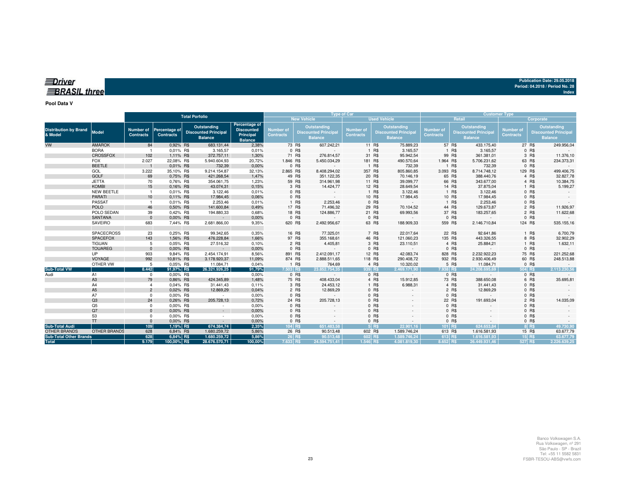| ≣Driver             |  |  |
|---------------------|--|--|
|                     |  |  |
| <b>BRASIL three</b> |  |  |
|                     |  |  |

#### **Pool Data V**

|                                         |                     | <b>Total Porfolio</b>         |                                   |                                                              |                                                                   |                               |                    | <b>Type of Car</b>                                                  |                                                                                                      |         | <b>Customer Type</b>          |                                                              |                      |                                      |                                                              |           |              |
|-----------------------------------------|---------------------|-------------------------------|-----------------------------------|--------------------------------------------------------------|-------------------------------------------------------------------|-------------------------------|--------------------|---------------------------------------------------------------------|------------------------------------------------------------------------------------------------------|---------|-------------------------------|--------------------------------------------------------------|----------------------|--------------------------------------|--------------------------------------------------------------|-----------|--------------|
|                                         |                     |                               |                                   |                                                              |                                                                   |                               | <b>New Vehicle</b> |                                                                     |                                                                                                      |         | <b>Used Vehicle</b>           |                                                              | <b>Retail</b>        |                                      |                                                              | Corporate |              |
| <b>Distribution by Brand</b><br>& Model | Model               | Number of<br><b>Contracts</b> | Percentage of<br><b>Contracts</b> | Outstanding<br><b>Discounted Principal</b><br><b>Balance</b> | Percentage of<br><b>Discounted</b><br>Principal<br><b>Balance</b> | Number of<br><b>Contracts</b> |                    | <b>Outstanding</b><br><b>Discounted Principal</b><br><b>Balance</b> | Outstanding<br><b>Number of</b><br><b>Discounted Principal</b><br><b>Contracts</b><br><b>Balance</b> |         | Number of<br><b>Contracts</b> | Outstanding<br><b>Discounted Principal</b><br><b>Balance</b> |                      | <b>Number of</b><br><b>Contracts</b> | Outstanding<br><b>Discounted Principal</b><br><b>Balance</b> |           |              |
| VW                                      | <b>AMAROK</b>       | 84                            | 0.92% R\$                         | 683.131,44                                                   | 2,38%                                                             |                               | 73 R\$             | 607.242,21                                                          |                                                                                                      | 11 R\$  | 75.889,23                     |                                                              | 57 R\$<br>433.175,40 |                                      |                                                              | 27 R\$    | 249.956,04   |
|                                         | <b>BORA</b>         |                               | 0,01% R\$                         | 3.165,57                                                     | 0,01%                                                             |                               | 0 R\$              |                                                                     |                                                                                                      | 1 R\$   | 3.165,57                      |                                                              | 1 R\$<br>3.165,57    |                                      |                                                              | 0 R\$     |              |
|                                         | <b>CROSSFOX</b>     | 102                           | 1,11% R\$                         | 372.757,11                                                   | 1,30%                                                             |                               | 71 R\$             | 276.814,57                                                          |                                                                                                      | 31 R\$  | 95.942,54                     |                                                              | 99 R\$<br>361.381,01 |                                      |                                                              | 3 R\$     | 11.376,10    |
|                                         | <b>FOX</b>          | 2.027                         | 22,08% R\$                        | 5.940.604,93                                                 | 20,72%                                                            | 1.846 R\$                     |                    | 5.450.034,29                                                        |                                                                                                      | 181 R\$ | 490.570,64                    | 1.964 R\$                                                    | 5.706.231,62         |                                      |                                                              | 63 R\$    | 234.373,31   |
|                                         | <b>BEETLE</b>       |                               | 0,01% R\$                         | 732,39                                                       | 0,00%                                                             |                               | 0 R\$              |                                                                     |                                                                                                      | 1 R\$   | 732,39                        |                                                              | 1 R\$<br>732,39      |                                      |                                                              | 0 R\$     |              |
|                                         | GOL                 | 3.222                         | 35,10% R\$                        | 9.214.154,87                                                 | 32,13%                                                            | 2.865 R\$                     |                    | 8.408.294,02                                                        | 357 R\$                                                                                              |         | 805.860,85                    | 3.093 R\$                                                    | 8.714.748,12         |                                      | 129 R\$                                                      |           | 499.406,75   |
|                                         | <b>GOLF</b>         | 69                            | 0,75% R\$                         | 421.268,54                                                   | 1,47%                                                             |                               | 49 R\$             | 351.122,35                                                          |                                                                                                      | 20 R\$  | 70.146,19                     |                                                              | 65 R\$<br>388.440,76 |                                      |                                                              | 4 R\$     | 32.827,78    |
|                                         | <b>JETTA</b>        | 70                            | 0,76% R\$                         | 354.061,75                                                   | 1,23%                                                             |                               | 59 R\$             | 314.961,98                                                          |                                                                                                      | 11 R\$  | 39.099,77                     |                                                              | 66 R\$<br>343.677,00 |                                      |                                                              | 4 R\$     | 10.384,75    |
|                                         | <b>KOMBI</b>        | 15                            | 0,16% R\$                         | 43.074,31                                                    | 0,15%                                                             |                               | 3 R\$              | 14.424,77                                                           |                                                                                                      | 12 R\$  | 28.649,54                     |                                                              | 14 R\$<br>37.875,04  |                                      |                                                              | 1 R\$     | 5.199,27     |
|                                         | <b>NEW BEETLE</b>   | $\overline{1}$                | 0,01% R\$                         | 3.122,46                                                     | 0,01%                                                             |                               | 0 R\$              |                                                                     |                                                                                                      | 1 R\$   | 3.122,46                      |                                                              | 1 R\$<br>3.122,46    |                                      |                                                              | 0 R\$     |              |
|                                         | <b>PARATI</b>       | 10                            | 0.11% R\$                         | 17.984,45                                                    | 0,06%                                                             |                               | 0 R\$              | $\sim$ $-$                                                          |                                                                                                      | 10 R\$  | 17.984,45                     |                                                              | 10 R\$<br>17.984,45  |                                      |                                                              | 0 R\$     |              |
|                                         | PASSAT              |                               | 0,01% R\$                         | 2.253,46                                                     | 0,01%                                                             |                               | 1 R\$              | 2.253,46                                                            |                                                                                                      | 0 R\$   |                               |                                                              | 1 R\$<br>2.253,46    |                                      |                                                              | 0 R\$     |              |
|                                         | <b>POLO</b>         | 46                            | 0.50% R\$                         | 141.600,84                                                   | 0,49%                                                             |                               | 17 R\$             | 71.496,32                                                           |                                                                                                      | 29 R\$  | 70.104,52                     |                                                              | 44 R\$<br>129.673,87 |                                      |                                                              | 2 R\$     | 11.926,97    |
|                                         | POLO SEDAN          | 39                            | 0,42% R\$                         | 194.880,33                                                   | 0,68%                                                             |                               | 18 R\$             | 124.886,77                                                          |                                                                                                      | 21 R\$  | 69.993,56                     |                                                              | 37 R\$<br>183.257,65 |                                      |                                                              | 2 R\$     | 11.622,68    |
|                                         | <b>SANTANA</b>      | $\Omega$                      | 0.00% R\$                         | $\sim$                                                       | 0,00%                                                             |                               | 0 R\$              |                                                                     |                                                                                                      | 0 R\$   |                               |                                                              | 0 R\$                | $\sim$                               |                                                              | 0 R\$     |              |
|                                         | SAVEIRO             | 683                           | 7,44% R\$                         | 2.681.866,00                                                 | 9,35%                                                             |                               | 620 R\$            | 2.492.956,67                                                        |                                                                                                      | 63 R\$  | 188.909,33                    | 559 R\$                                                      | 2.146.710,84         |                                      | 124 R\$                                                      |           | 535.155,16   |
|                                         | <b>SPACECROSS</b>   | 23                            | 0,25% R\$                         | 99.342,65                                                    | 0,35%                                                             |                               | 16 R\$             | 77.325,01                                                           |                                                                                                      | 7 R\$   | 22.017,64                     |                                                              | 22 R\$<br>92.641,86  |                                      |                                                              | 1 R\$     | 6.700,79     |
|                                         | <b>SPACEFOX</b>     | 143                           | 1,56% R\$                         | 476.228,84                                                   | 1,66%                                                             |                               | 97 R\$             | 355.168,61                                                          |                                                                                                      | 46 R\$  | 121.060,23                    | 135 R\$                                                      | 443.326,55           |                                      |                                                              | 8 R\$     | 32.902,29    |
|                                         | <b>TIGUAN</b>       | 5                             | 0.05% R\$                         | 27.516,32                                                    | 0,10%                                                             |                               | 2 R\$              | 4.405,81                                                            |                                                                                                      | 3 R\$   | 23.110,51                     |                                                              | 4 R\$<br>25.884,21   |                                      |                                                              | 1 R\$     | 1.632,11     |
|                                         | <b>TOUAREG</b>      | $\Omega$                      | 0.00% R\$                         | $\sim$                                                       | 0,00%                                                             |                               | 0 R\$              | $\sim$                                                              |                                                                                                      | 0 R\$   | $\sim$                        |                                                              | 0 R\$                | $\sim$                               |                                                              | 0 R\$     |              |
|                                         | <b>UP</b>           | 903                           | 9,84% R\$                         | 2.454.174,91                                                 | 8,56%                                                             |                               | 891 R\$            | 2.412.091,17                                                        |                                                                                                      | 12 R\$  | 42.083,74                     | 828 R\$                                                      | 2.232.922.23         |                                      |                                                              | 75 R\$    | 221.252,68   |
|                                         | VOYAGE              | 992                           | 10,81% R\$                        | 3.178.920,37                                                 | 11,09%                                                            |                               | 874 R\$            | 2.888.511,65                                                        | 118 R\$                                                                                              |         | 290.408,72                    | 932 R\$                                                      | 2.930.406,49         |                                      |                                                              | 60 R\$    | 248.513,88   |
|                                         | OTHER VW            | 5                             | 0.05% R\$                         | 11.084,71                                                    | 0,04%                                                             |                               | 1 R\$              | 764,69                                                              |                                                                                                      | 4 R\$   | 10.320,02                     |                                                              | 5 R\$<br>11.084,71   |                                      |                                                              | 0 R\$     |              |
| <b>Sub-Total VW</b>                     |                     | 8.442                         | 91,97% R\$                        | 26.321.926.25                                                | 91,79%                                                            | 7.503 R\$                     |                    | 23.852.754.35                                                       | 939 RS                                                                                               |         | 2.469.171.90                  | 7.938 RS                                                     | 24.208.695.69        |                                      | 504 RS                                                       |           | 2.113.230.56 |
| Audi                                    | A1                  | $^{\circ}$                    | 0,00% R\$                         | $\sim$                                                       | 0,00%                                                             |                               | 0 R\$              | $\sim$                                                              |                                                                                                      | 0 R\$   |                               |                                                              | 0 R\$                | $\sim$                               |                                                              | 0 R\$     |              |
|                                         | A <sub>3</sub>      | 79                            | 0.86% R\$                         | 424.345,89                                                   | 1,48%                                                             |                               | 75 R\$             | 408.433,04                                                          |                                                                                                      | 4 R\$   | 15.912,85                     |                                                              | 73 R\$<br>388.650,08 |                                      |                                                              | 6 R\$     | 35.695,81    |
|                                         | A4                  | $\overline{4}$                | 0.04% R\$                         | 31.441,43                                                    | 0,11%                                                             |                               | 3 R\$              | 24.453,12                                                           |                                                                                                      | 1 R\$   | 6.988,31                      |                                                              | 4 R\$<br>31.441,43   |                                      |                                                              | 0 R\$     |              |
|                                         | A <sub>5</sub>      | $\overline{2}$                | 0,02% R\$                         | 12.869,29                                                    | 0,04%                                                             |                               | 2 R\$              | 12.869,29                                                           |                                                                                                      | $0$ R\$ |                               |                                                              | 2 R\$<br>12.869,29   |                                      |                                                              | $0$ R\$   |              |
|                                         | A7                  | $\Omega$                      | 0.00% R\$                         | $\sim$                                                       | 0,00%                                                             |                               | 0 R\$              |                                                                     |                                                                                                      | 0 R\$   |                               |                                                              | 0 R\$                |                                      |                                                              | 0 R\$     |              |
|                                         | Q3                  | 24                            | 0.26% R\$                         | 205.728,13                                                   | 0,72%                                                             |                               | 24 R\$             | 205.728,13                                                          |                                                                                                      | 0 R\$   |                               |                                                              | 22 R\$<br>191.693,04 |                                      |                                                              | 2 R\$     | 14.035,09    |
|                                         | Q5                  | $\Omega$                      | 0,00% R\$                         | $\sim$                                                       | 0,00%                                                             |                               | 0 R\$              |                                                                     |                                                                                                      | 0 R\$   |                               |                                                              | 0 R\$                |                                      |                                                              | $0$ R\$   |              |
|                                         | Q7                  | $\Omega$                      | 0,00% R\$                         | $\sim$                                                       | 0,00%                                                             |                               | 0 R\$              |                                                                     |                                                                                                      | 0 R\$   |                               |                                                              | $0$ R\$              |                                      |                                                              | $0$ R\$   |              |
|                                         | S <sub>3</sub>      | $\Omega$                      | 0.00% R\$                         | $\sim$                                                       | 0,00%                                                             |                               | 0 R\$              |                                                                     |                                                                                                      | $0$ R\$ |                               |                                                              | 0 R\$                |                                      |                                                              | 0 R\$     |              |
|                                         | <b>TT</b>           | $\Omega$                      | 0.00% R\$                         | $\sim$                                                       | 0,00%                                                             |                               | 0 R\$              |                                                                     |                                                                                                      | 0 R\$   |                               |                                                              | 0 R\$                |                                      |                                                              | 0 R\$     |              |
| <b>Sub-Total Audi</b>                   |                     | 109                           | 1,19% R\$                         | 674.384,74                                                   | 2,35%                                                             |                               | 104 R\$            | 651.483.58                                                          |                                                                                                      | $5$ R\$ | 22.901.16                     | 101 R\$                                                      | 624.653.84           |                                      |                                                              | 8 R\$     | 49.730,90    |
| <b>OTHER BRANDS</b>                     | <b>OTHER BRANDS</b> | 628                           | 6,84% R\$                         | 1.680.259,72                                                 | 5,86%                                                             |                               | 26 R\$             | 90.513,48                                                           |                                                                                                      | 602 R\$ | 1.589.746,24                  | 613 R\$                                                      | 1.616.581,93         |                                      |                                                              | 15 R\$    | 63.677,79    |
| <b>Sub-Total Other Brands</b>           |                     | 628                           | 6,84% R\$                         | 1.680.259,72                                                 | 5,86%                                                             |                               | 26 R\$             | 90.513.48                                                           |                                                                                                      | 602 R\$ | 1.589.746.24                  | 613 R\$                                                      | 1.616.581.93         |                                      |                                                              | $15$ R\$  | 63.677,79    |
| <b>Total</b>                            |                     | 9.179                         | 100,00% R\$                       | 28.676.570,71                                                | 100,00%                                                           | 7.633 R\$                     |                    | 24.594.751,41                                                       | 1.546 R\$                                                                                            |         | 4.081.819.30                  | 8.652 RS                                                     | 26.449.931.46        |                                      | 527 R\$                                                      |           | 2.226.639.25 |

**Publication Date: 29.05.2018 Period: 04.2018 / Period No. 28**

**Index**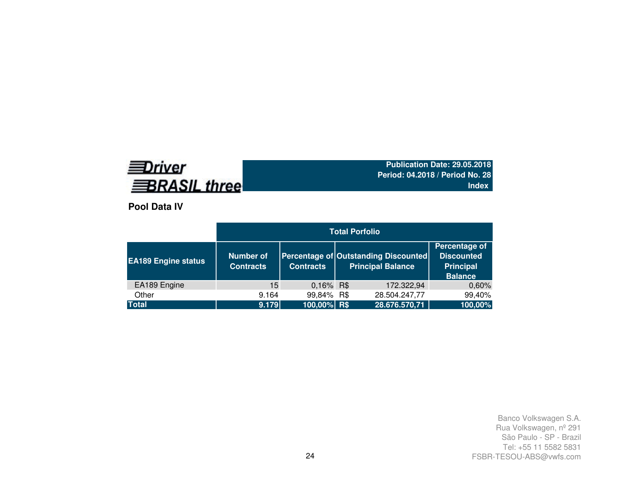# **EDriver BRASIL three**

**Publication Date: 29.05.2018 Period: 04.2018 / Period No. 28Index**

**Pool Data IV**

|                            | <b>Total Porfolio</b>         |                  |  |                                                                  |                                                                          |  |  |  |  |  |  |
|----------------------------|-------------------------------|------------------|--|------------------------------------------------------------------|--------------------------------------------------------------------------|--|--|--|--|--|--|
| <b>EA189 Engine status</b> | Number of<br><b>Contracts</b> | <b>Contracts</b> |  | Percentage of Outstanding Discounted<br><b>Principal Balance</b> | Percentage of<br><b>Discounted</b><br><b>Principal</b><br><b>Balance</b> |  |  |  |  |  |  |
| EA189 Engine               | 15                            | 0,16% R\$        |  | 172.322,94                                                       | 0,60%                                                                    |  |  |  |  |  |  |
| Other                      | 9.164                         | 99,84% R\$       |  | 28.504.247,77                                                    | 99,40%                                                                   |  |  |  |  |  |  |
| <b>Total</b>               | 9.179                         | 100,00% R\$      |  | 28.676.570,71                                                    | 100,00%                                                                  |  |  |  |  |  |  |